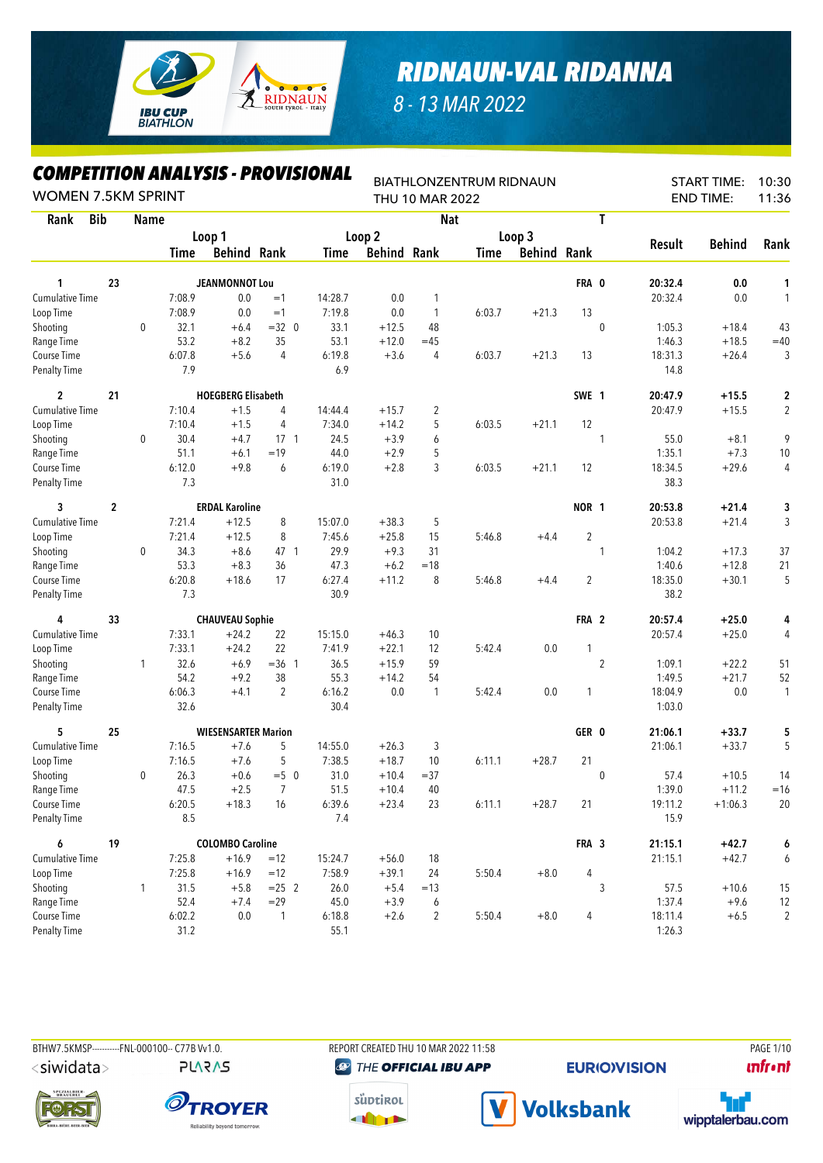

*8 - 13 MAR 2022*

## *COMPETITION ANALYSIS - PROVISIONAL*

| LUMPEIIIIUN ANALIYIY - PKUVIYIUNAL<br><b>WOMEN 7.5KM SPRINT</b> |             |              |        |                            |                |         |                    | THU 10 MAR 2022 | <b>BIATHLONZENTRUM RIDNAUN</b> |                    |            |                |               | <b>START TIME:</b><br><b>END TIME:</b> | 10:30<br>11:36 |
|-----------------------------------------------------------------|-------------|--------------|--------|----------------------------|----------------|---------|--------------------|-----------------|--------------------------------|--------------------|------------|----------------|---------------|----------------------------------------|----------------|
| <b>Bib</b><br>Rank                                              |             | <b>Name</b>  |        |                            |                |         |                    | <b>Nat</b>      |                                |                    |            | T              |               |                                        |                |
|                                                                 |             |              |        | Loop 1                     |                |         | Loop 2             |                 |                                | Loop 3             |            |                |               |                                        |                |
|                                                                 |             |              | Time   | <b>Behind Rank</b>         |                | Time    | <b>Behind Rank</b> |                 | Time                           | <b>Behind Rank</b> |            |                | <b>Result</b> | <b>Behind</b>                          | Rank           |
| 1                                                               | 23          |              |        | <b>JEANMONNOT Lou</b>      |                |         |                    |                 |                                |                    | FRA 0      |                | 20:32.4       | 0.0                                    | 1              |
| <b>Cumulative Time</b>                                          |             |              | 7:08.9 | 0.0                        | $=1$           | 14:28.7 | 0.0                | 1               |                                |                    |            |                | 20:32.4       | 0.0                                    | 1              |
| Loop Time                                                       |             |              | 7:08.9 | 0.0                        | $=1$           | 7:19.8  | 0.0                | $\mathbf{1}$    | 6:03.7                         | $+21.3$            | 13         |                |               |                                        |                |
| Shooting                                                        |             | $\mathbf{0}$ | 32.1   | $+6.4$                     | $=32$ 0        | 33.1    | $+12.5$            | 48              |                                |                    |            | $\pmb{0}$      | 1:05.3        | $+18.4$                                | 43             |
| Range Time                                                      |             |              | 53.2   | $+8.2$                     | 35             | 53.1    | $+12.0$            | $=45$           |                                |                    |            |                | 1:46.3        | $+18.5$                                | $=40$          |
| Course Time                                                     |             |              | 6:07.8 | $+5.6$                     | 4              | 6:19.8  | $+3.6$             | 4               | 6:03.7                         | $+21.3$            | 13         |                | 18:31.3       | $+26.4$                                | 3              |
| <b>Penalty Time</b>                                             |             |              | 7.9    |                            |                | 6.9     |                    |                 |                                |                    |            |                | 14.8          |                                        |                |
| $\overline{c}$                                                  | 21          |              |        | <b>HOEGBERG Elisabeth</b>  |                |         |                    |                 |                                |                    | SWE 1      |                | 20:47.9       | $+15.5$                                | 2              |
| <b>Cumulative Time</b>                                          |             |              | 7:10.4 | $+1.5$                     | 4              | 14:44.4 | $+15.7$            | $\overline{c}$  |                                |                    |            |                | 20:47.9       | $+15.5$                                | $\overline{2}$ |
| Loop Time                                                       |             |              | 7:10.4 | $+1.5$                     | 4              | 7:34.0  | $+14.2$            | 5               | 6:03.5                         | $+21.1$            | 12         |                |               |                                        |                |
| Shooting                                                        |             | 0            | 30.4   | $+4.7$                     | $17-1$         | 24.5    | $+3.9$             | 6               |                                |                    |            | 1              | 55.0          | $+8.1$                                 | 9              |
| Range Time                                                      |             |              | 51.1   | $+6.1$                     | $=19$          | 44.0    | $+2.9$             | 5               |                                |                    |            |                | 1:35.1        | $+7.3$                                 | 10             |
| Course Time                                                     |             |              | 6:12.0 | $+9.8$                     | 6              | 6:19.0  | $+2.8$             | 3               | 6:03.5                         | $+21.1$            | 12         |                | 18:34.5       | $+29.6$                                | 4              |
| <b>Penalty Time</b>                                             |             |              | 7.3    |                            |                | 31.0    |                    |                 |                                |                    |            |                | 38.3          |                                        |                |
| 3                                                               | $\mathbf 2$ |              |        | <b>ERDAL Karoline</b>      |                |         |                    |                 |                                |                    | NOR 1      |                | 20:53.8       | $+21.4$                                | 3              |
| <b>Cumulative Time</b>                                          |             |              | 7:21.4 | $+12.5$                    | 8              | 15:07.0 | $+38.3$            | 5               |                                |                    |            |                | 20:53.8       | $+21.4$                                | 3              |
| Loop Time                                                       |             |              | 7:21.4 | $+12.5$                    | 8              | 7:45.6  | $+25.8$            | 15              | 5:46.8                         | $+4.4$             | $\sqrt{2}$ |                |               |                                        |                |
| Shooting                                                        |             | $\mathbf 0$  | 34.3   | $+8.6$                     | 47 1           | 29.9    | $+9.3$             | 31              |                                |                    |            | 1              | 1:04.2        | $+17.3$                                | 37             |
| Range Time                                                      |             |              | 53.3   | $+8.3$                     | 36             | 47.3    | $+6.2$             | $=18$           |                                |                    |            |                | 1:40.6        | $+12.8$                                | 21             |
| Course Time                                                     |             |              | 6:20.8 | $+18.6$                    | 17             | 6:27.4  | $+11.2$            | 8               | 5:46.8                         | $+4.4$             | 2          |                | 18:35.0       | $+30.1$                                | 5              |
| Penalty Time                                                    |             |              | 7.3    |                            |                | 30.9    |                    |                 |                                |                    |            |                | 38.2          |                                        |                |
| 4                                                               | 33          |              |        | <b>CHAUVEAU Sophie</b>     |                |         |                    |                 |                                |                    | FRA 2      |                | 20:57.4       | $+25.0$                                | 4              |
| Cumulative Time                                                 |             |              | 7:33.1 | $+24.2$                    | 22             | 15:15.0 | $+46.3$            | 10              |                                |                    |            |                | 20:57.4       | $+25.0$                                | 4              |
| Loop Time                                                       |             |              | 7:33.1 | $+24.2$                    | 22             | 7:41.9  | $+22.1$            | 12              | 5:42.4                         | 0.0                | 1          |                |               |                                        |                |
| Shooting                                                        |             | 1            | 32.6   | $+6.9$                     | $=36$ 1        | 36.5    | $+15.9$            | 59              |                                |                    |            | $\overline{2}$ | 1:09.1        | $+22.2$                                | 51             |
| Range Time                                                      |             |              | 54.2   | $+9.2$                     | 38             | 55.3    | $+14.2$            | 54              |                                |                    |            |                | 1:49.5        | $+21.7$                                | 52             |
| Course Time                                                     |             |              | 6:06.3 | $+4.1$                     | $\overline{2}$ | 6:16.2  | 0.0                | $\mathbf{1}$    | 5:42.4                         | 0.0                | 1          |                | 18:04.9       | 0.0                                    | $\mathbf{1}$   |
| <b>Penalty Time</b>                                             |             |              | 32.6   |                            |                | 30.4    |                    |                 |                                |                    |            |                | 1:03.0        |                                        |                |
| 5                                                               | 25          |              |        | <b>WIESENSARTER Marion</b> |                |         |                    |                 |                                |                    | GER 0      |                | 21:06.1       | $+33.7$                                | 5              |
| <b>Cumulative Time</b>                                          |             |              | 7:16.5 | $+7.6$                     | 5              | 14:55.0 | $+26.3$            | 3               |                                |                    |            |                | 21:06.1       | $+33.7$                                | 5              |
| Loop Time                                                       |             |              | 7:16.5 | $+7.6$                     | 5              | 7:38.5  | $+18.7$            | 10              | 6:11.1                         | $+28.7$            | 21         |                |               |                                        |                |
| Shooting                                                        |             | 0            | 26.3   | $+0.6$                     | $=50$          | 31.0    | $+10.4$            | $= 37$          |                                |                    |            | 0              | 57.4          | $+10.5$                                | 14             |
| Range Time                                                      |             |              | 47.5   | $+2.5$                     | $\overline{7}$ | 51.5    | $+10.4$            | 40              |                                |                    |            |                | 1:39.0        | $+11.2$                                | $=16$          |
| Course Time                                                     |             |              | 6:20.5 | $+18.3$                    | 16             | 6:39.6  | $+23.4$            | 23              | 6:11.1                         | $+28.7$            | 21         |                | 19:11.2       | $+1:06.3$                              | 20             |
| <b>Penalty Time</b>                                             |             |              | 8.5    |                            |                | 7.4     |                    |                 |                                |                    |            |                | 15.9          |                                        |                |
| 6                                                               | 19          |              |        | <b>COLOMBO Caroline</b>    |                |         |                    |                 |                                |                    | FRA 3      |                | 21:15.1       | $+42.7$                                | 6              |
| <b>Cumulative Time</b>                                          |             |              | 7:25.8 | $+16.9$                    | $=12$          | 15:24.7 | $+56.0$            | 18              |                                |                    |            |                | 21:15.1       | $+42.7$                                | 6              |
| Loop Time                                                       |             |              | 7:25.8 | $+16.9$                    | $=12$          | 7:58.9  | $+39.1$            | 24              | 5:50.4                         | $+8.0$             | 4          |                |               |                                        |                |
| Shooting                                                        |             | 1            | 31.5   | $+5.8$                     | $= 25$ 2       | 26.0    | $+5.4$             | $=13$           |                                |                    |            | 3              | 57.5          | $+10.6$                                | 15             |
| Range Time                                                      |             |              | 52.4   | $+7.4$                     | $= 29$         | 45.0    | $+3.9$             | 6               |                                |                    |            |                | 1:37.4        | $+9.6$                                 | 12             |
| Course Time                                                     |             |              | 6:02.2 | 0.0                        | $\mathbf{1}$   | 6:18.8  | $+2.6$             | 2               | 5:50.4                         | $+8.0$             | 4          |                | 18:11.4       | $+6.5$                                 | $\overline{2}$ |
| <b>Penalty Time</b>                                             |             |              | $31.2$ |                            |                | 55.1    |                    |                 |                                |                    |            |                | 1:26.3        |                                        |                |

<siwidata>

**PLARAS** 

BTHW7.5KMSP----------FNL-000100-- C77B Vv1.0. REPORT CREATED THU 10 MAR 2022 11:58 PAGE 1/10 **@ THE OFFICIAL IBU APP** 

**EURIO)VISION** 

**unfront** 







**Volksbank** 

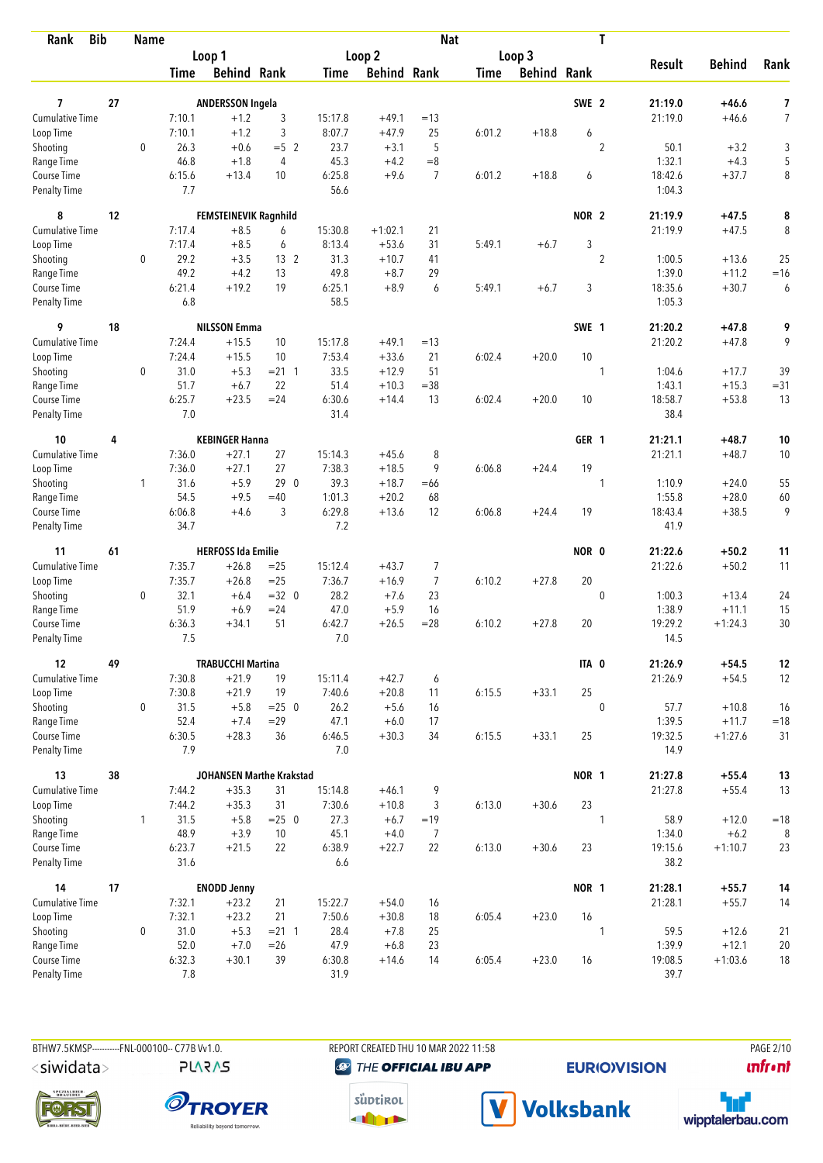| <b>Bib</b><br>Rank                 |    | <b>Name</b>  |                |                              |                 |                |                    | <b>Nat</b>     |        |                    |                  | T              |                   |                     |                |
|------------------------------------|----|--------------|----------------|------------------------------|-----------------|----------------|--------------------|----------------|--------|--------------------|------------------|----------------|-------------------|---------------------|----------------|
|                                    |    |              |                | Loop 1                       |                 |                | Loop 2             |                |        | Loop 3             |                  |                |                   |                     |                |
|                                    |    |              | <b>Time</b>    | <b>Behind Rank</b>           |                 | Time           | <b>Behind Rank</b> |                | Time   | <b>Behind Rank</b> |                  |                | <b>Result</b>     | <b>Behind</b>       | Rank           |
|                                    |    |              |                |                              |                 |                |                    |                |        |                    |                  |                |                   |                     |                |
| 7                                  | 27 |              |                | <b>ANDERSSON Ingela</b>      |                 |                |                    |                |        |                    | SWE <sub>2</sub> |                | 21:19.0           | $+46.6$             | 7              |
| <b>Cumulative Time</b>             |    |              | 7:10.1         | $+1.2$                       | 3               | 15:17.8        | $+49.1$            | $=13$          |        |                    |                  |                | 21:19.0           | $+46.6$             | $\overline{7}$ |
| Loop Time                          |    |              | 7:10.1         | $+1.2$                       | 3               | 8:07.7         | $+47.9$            | 25             | 6:01.2 | $+18.8$            | 6                |                |                   |                     |                |
| Shooting                           |    | $\mathbf 0$  | 26.3<br>46.8   | $+0.6$                       | $= 5 \quad 2$   | 23.7           | $+3.1$             | 5<br>$= 8$     |        |                    |                  | $\overline{2}$ | 50.1<br>1:32.1    | $+3.2$              | 3              |
| Range Time                         |    |              | 6:15.6         | $+1.8$                       | 4               | 45.3<br>6:25.8 | $+4.2$<br>$+9.6$   | $\overline{7}$ |        | $+18.8$            |                  |                | 18:42.6           | $+4.3$<br>$+37.7$   | 5              |
| Course Time<br><b>Penalty Time</b> |    |              | 7.7            | $+13.4$                      | 10              | 56.6           |                    |                | 6:01.2 |                    | 6                |                | 1:04.3            |                     | 8              |
| 8                                  | 12 |              |                | <b>FEMSTEINEVIK Ragnhild</b> |                 |                |                    |                |        |                    | NOR <sub>2</sub> |                | 21:19.9           | $+47.5$             | 8              |
| Cumulative Time                    |    |              | 7:17.4         | $+8.5$                       | 6               | 15:30.8        | $+1:02.1$          | 21             |        |                    |                  |                | 21:19.9           | $+47.5$             | 8              |
| Loop Time                          |    |              | 7:17.4         | $+8.5$                       | 6               | 8:13.4         | $+53.6$            | 31             | 5:49.1 | $+6.7$             | 3                |                |                   |                     |                |
| Shooting                           |    | 0            | 29.2           | $+3.5$                       | 13 <sup>2</sup> | 31.3           | $+10.7$            | 41             |        |                    |                  | $\overline{2}$ | 1:00.5            | $+13.6$             | 25             |
| Range Time                         |    |              | 49.2           | $+4.2$                       | 13              | 49.8           | $+8.7$             | 29             |        |                    |                  |                | 1:39.0            | $+11.2$             | $=16$          |
| Course Time                        |    |              | 6:21.4         | $+19.2$                      | 19              | 6:25.1         | $+8.9$             | 6              | 5:49.1 | $+6.7$             | 3                |                | 18:35.6           | $+30.7$             | 6              |
| <b>Penalty Time</b>                |    |              | 6.8            |                              |                 | 58.5           |                    |                |        |                    |                  |                | 1:05.3            |                     |                |
| 9                                  | 18 |              |                | <b>NILSSON Emma</b>          |                 |                |                    |                |        |                    | SWE 1            |                | 21:20.2           | $+47.8$             | 9              |
| Cumulative Time                    |    |              | 7:24.4         | $+15.5$                      | 10              | 15:17.8        | $+49.1$            | $=13$          |        |                    |                  |                | 21:20.2           | $+47.8$             | 9              |
| Loop Time                          |    |              | 7:24.4         | $+15.5$                      | 10              | 7:53.4         | $+33.6$            | 21             | 6:02.4 | $+20.0$            | 10               |                |                   |                     |                |
| Shooting                           |    | $\mathbf 0$  | 31.0           | $+5.3$                       | $= 21 \quad 1$  | 33.5           | $+12.9$            | 51             |        |                    |                  | $\mathbf{1}$   | 1:04.6            | $+17.7$             | 39             |
| Range Time                         |    |              | 51.7           | $+6.7$                       | 22              | 51.4           | $+10.3$            | $= 38$         |        |                    |                  |                | 1:43.1            | $+15.3$             | $= 31$         |
| Course Time                        |    |              | 6:25.7         | $+23.5$                      | $= 24$          | 6:30.6         | $+14.4$            | 13             | 6:02.4 | $+20.0$            | 10               |                | 18:58.7           | $+53.8$             | 13             |
| <b>Penalty Time</b>                |    |              | 7.0            |                              |                 | 31.4           |                    |                |        |                    |                  |                | 38.4              |                     |                |
| 10                                 | 4  |              |                | <b>KEBINGER Hanna</b>        |                 |                |                    |                |        |                    | GER 1            |                | 21:21.1           | $+48.7$             | 10             |
| Cumulative Time                    |    |              | 7:36.0         | $+27.1$                      | 27              | 15:14.3        | $+45.6$            | 8              |        |                    |                  |                | 21:21.1           | $+48.7$             | 10             |
| Loop Time                          |    |              | 7:36.0         | $+27.1$                      | 27              | 7:38.3         | $+18.5$            | 9              | 6:06.8 | $+24.4$            | 19               |                |                   |                     |                |
| Shooting                           |    | $\mathbf{1}$ | 31.6           | $+5.9$                       | 290             | 39.3           | $+18.7$            | $=66$          |        |                    |                  | 1              | 1:10.9            | $+24.0$             | 55             |
| Range Time                         |    |              | 54.5           | $+9.5$                       | $=40$           | 1:01.3         | $+20.2$            | 68             |        |                    |                  |                | 1:55.8            | $+28.0$             | 60             |
| Course Time                        |    |              | 6:06.8         | $+4.6$                       | 3               | 6:29.8         | $+13.6$            | 12             | 6:06.8 | $+24.4$            | 19               |                | 18:43.4           | $+38.5$             | 9              |
| <b>Penalty Time</b>                |    |              | 34.7           |                              |                 | 7.2            |                    |                |        |                    |                  |                | 41.9              |                     |                |
| 11                                 | 61 |              |                | <b>HERFOSS Ida Emilie</b>    |                 |                |                    |                |        |                    | NOR 0            |                | 21:22.6           | $+50.2$             | 11             |
| <b>Cumulative Time</b>             |    |              | 7:35.7         | $+26.8$                      | $= 25$          | 15:12.4        | $+43.7$            | 7              |        |                    |                  |                | 21:22.6           | $+50.2$             | 11             |
| Loop Time                          |    |              | 7:35.7         | $+26.8$                      | $=25$           | 7:36.7         | $+16.9$            | $\overline{7}$ | 6:10.2 | $+27.8$            | 20               |                |                   |                     |                |
| Shooting                           |    | $\mathbf 0$  | 32.1           | $+6.4$                       | $=32$ 0         | 28.2           | $+7.6$             | 23             |        |                    |                  | $\pmb{0}$      | 1:00.3            | $+13.4$             | 24             |
| Range Time                         |    |              | 51.9           | $+6.9$                       | $= 24$          | 47.0           | $+5.9$             | 16             |        |                    |                  |                | 1:38.9            | $+11.1$             | 15             |
| Course Time                        |    |              | 6:36.3         | $+34.1$                      | 51              | 6:42.7         | $+26.5$            | $=28$          | 6:10.2 | $+27.8$            | 20               |                | 19:29.2           | $+1:24.3$           | 30             |
| <b>Penalty Time</b>                |    |              | 7.5            |                              |                 | 7.0            |                    |                |        |                    |                  |                | 14.5              |                     |                |
| 12                                 | 49 |              |                | <b>TRABUCCHI Martina</b>     |                 |                |                    |                |        |                    | ITA 0            |                | 21:26.9           | $+54.5$             | 12             |
| <b>Cumulative Time</b>             |    |              | 7:30.8         | $+21.9$                      | 19              | 15:11.4        | $+42.7$            | 6              |        |                    |                  |                | 21:26.9           | $+54.5$             | 12             |
| Loop Time                          |    |              | 7:30.8         | $+21.9$                      | 19              | 7:40.6         | $+20.8$            | 11             | 6:15.5 | $+33.1$            | 25               |                |                   |                     |                |
| Shooting                           |    | 0            | 31.5           | $+5.8$                       | $= 25 \ 0$      | 26.2           | $+5.6$             | 16             |        |                    |                  | $\pmb{0}$      | 57.7              | $+10.8$             | 16             |
| Range Time                         |    |              | 52.4           | $+7.4$                       | $= 29$          | 47.1           | $+6.0$             | 17             |        |                    |                  |                | 1:39.5            | $+11.7$             | $=18$          |
| Course Time<br>Penalty Time        |    |              | 6:30.5<br>7.9  | $+28.3$                      | 36              | 6:46.5<br>7.0  | $+30.3$            | 34             | 6:15.5 | $+33.1$            | 25               |                | 19:32.5<br>14.9   | $+1:27.6$           | 31             |
|                                    |    |              |                |                              |                 |                |                    |                |        |                    |                  |                |                   |                     |                |
| 13                                 | 38 |              |                | JOHANSEN Marthe Krakstad     |                 |                |                    |                |        |                    | NOR 1            |                | 21:27.8           | $+55.4$             | 13             |
| <b>Cumulative Time</b>             |    |              | 7:44.2         | $+35.3$                      | 31              | 15:14.8        | $+46.1$            | 9              |        |                    |                  |                | 21:27.8           | $+55.4$             | 13             |
| Loop Time                          |    |              | 7:44.2         | $+35.3$                      | 31              | 7:30.6         | $+10.8$            | 3              | 6:13.0 | $+30.6$            | 23               |                |                   |                     |                |
| Shooting                           |    | 1            | 31.5           | $+5.8$                       | $= 25 0$        | 27.3           | $+6.7$             | $=19$          |        |                    |                  | $\mathbf{1}$   | 58.9              | $+12.0$             | $=18$          |
| Range Time<br>Course Time          |    |              | 48.9<br>6:23.7 | $+3.9$<br>$+21.5$            | 10<br>22        | 45.1<br>6:38.9 | $+4.0$<br>$+22.7$  | 7<br>22        | 6:13.0 | $+30.6$            | 23               |                | 1:34.0<br>19:15.6 | $+6.2$<br>$+1:10.7$ | 8<br>23        |
| Penalty Time                       |    |              | 31.6           |                              |                 | 6.6            |                    |                |        |                    |                  |                | 38.2              |                     |                |
| 14                                 | 17 |              |                | <b>ENODD Jenny</b>           |                 |                |                    |                |        |                    | NOR 1            |                | 21:28.1           | $+55.7$             | 14             |
| Cumulative Time                    |    |              | 7:32.1         | $+23.2$                      | 21              | 15:22.7        | $+54.0$            | 16             |        |                    |                  |                | 21:28.1           | $+55.7$             | 14             |
| Loop Time                          |    |              | 7:32.1         | $+23.2$                      | 21              | 7:50.6         | $+30.8$            | 18             | 6:05.4 | $+23.0$            | 16               |                |                   |                     |                |
| Shooting                           |    | 0            | 31.0           | $+5.3$                       | $= 21 \quad 1$  | 28.4           | $+7.8$             | 25             |        |                    |                  | 1              | 59.5              | $+12.6$             | 21             |
| Range Time                         |    |              | 52.0           | $+7.0$                       | $=26$           | 47.9           | $+6.8$             | 23             |        |                    |                  |                | 1:39.9            | $+12.1$             | 20             |
| Course Time                        |    |              | 6:32.3         | $+30.1$                      | 39              | 6:30.8         | $+14.6$            | 14             | 6:05.4 | $+23.0$            | 16               |                | 19:08.5           | $+1:03.6$           | 18             |
| Penalty Time                       |    |              | 7.8            |                              |                 | 31.9           |                    |                |        |                    |                  |                | 39.7              |                     |                |

BTHW7.5KMSP----------FNL-000100-- C77B Vv1.0.

<siwidata>

**PLARAS** 

REPORT CREATED THU 10 MAR 2022 11:58 **@** THE OFFICIAL IBU APP

**EURIO)VISION** 







V Volksbank



**PAGE 2/10** 

*<u><u>Infront</u>*</u>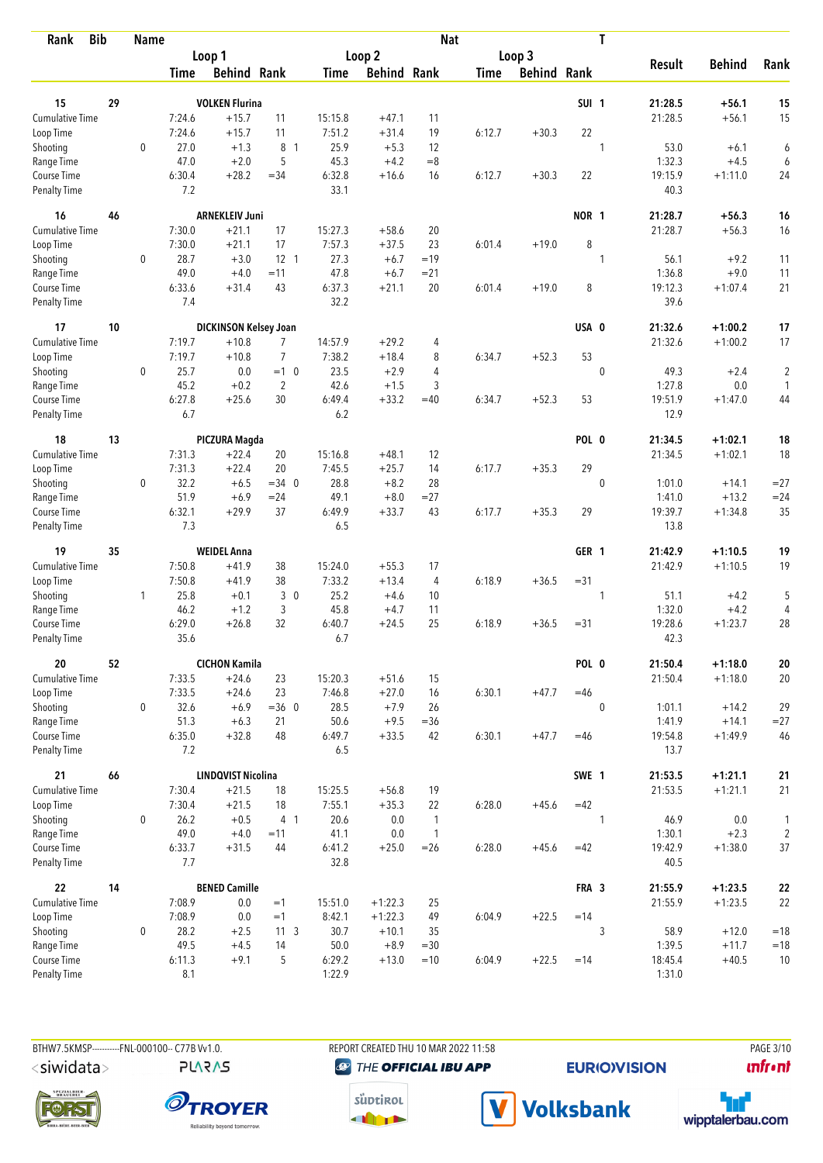| <b>Bib</b><br>Rank          |    | <b>Name</b> |               |                           |                |               |                    | <b>Nat</b>     |             |                    |                  | T            |                 |               |                |
|-----------------------------|----|-------------|---------------|---------------------------|----------------|---------------|--------------------|----------------|-------------|--------------------|------------------|--------------|-----------------|---------------|----------------|
|                             |    |             |               | Loop 1                    |                |               | Loop 2             |                |             | Loop 3             |                  |              |                 |               |                |
|                             |    |             | Time          | <b>Behind Rank</b>        |                | Time          | <b>Behind Rank</b> |                | <b>Time</b> | <b>Behind Rank</b> |                  |              | <b>Result</b>   | <b>Behind</b> | Rank           |
| 15                          | 29 |             |               | <b>VOLKEN Flurina</b>     |                |               |                    |                |             |                    | SUI <sub>1</sub> |              | 21:28.5         | $+56.1$       | 15             |
| <b>Cumulative Time</b>      |    |             | 7:24.6        | $+15.7$                   | 11             | 15:15.8       | $+47.1$            | 11             |             |                    |                  |              | 21:28.5         | $+56.1$       | 15             |
| Loop Time                   |    |             | 7:24.6        | $+15.7$                   | 11             | 7:51.2        | $+31.4$            | 19             | 6:12.7      | $+30.3$            | 22               |              |                 |               |                |
| Shooting                    |    | $\mathbf 0$ | 27.0          | $+1.3$                    | 8 1            | 25.9          | $+5.3$             | 12             |             |                    |                  | 1            | 53.0            | $+6.1$        | 6              |
| Range Time                  |    |             | 47.0          | $+2.0$                    | 5              | 45.3          | $+4.2$             | $=8$           |             |                    |                  |              | 1:32.3          | $+4.5$        | 6              |
| Course Time                 |    |             | 6:30.4        | $+28.2$                   | $= 34$         | 6:32.8        | $+16.6$            | 16             | 6:12.7      | $+30.3$            | 22               |              | 19:15.9         | $+1:11.0$     | 24             |
| <b>Penalty Time</b>         |    |             | 7.2           |                           |                | 33.1          |                    |                |             |                    |                  |              | 40.3            |               |                |
| 16                          | 46 |             |               | <b>ARNEKLEIV Juni</b>     |                |               |                    |                |             |                    | NOR 1            |              | 21:28.7         | $+56.3$       | 16             |
| Cumulative Time             |    |             | 7:30.0        | $+21.1$                   | 17             | 15:27.3       | $+58.6$            | 20             |             |                    |                  |              | 21:28.7         | $+56.3$       | 16             |
| Loop Time                   |    |             | 7:30.0        | $+21.1$                   | 17             | 7:57.3        | $+37.5$            | 23             | 6:01.4      | $+19.0$            | 8                |              |                 |               |                |
| Shooting                    |    | 0           | 28.7          | $+3.0$                    | $12 \quad 1$   | 27.3          | $+6.7$             | $=19$          |             |                    |                  | 1            | 56.1            | $+9.2$        | 11             |
| Range Time                  |    |             | 49.0          | $+4.0$                    | $=11$          | 47.8          | $+6.7$             | $= 21$         |             |                    |                  |              | 1:36.8          | $+9.0$        | 11             |
| Course Time                 |    |             | 6:33.6        | $+31.4$                   | 43             | 6:37.3        | $+21.1$            | 20             | 6:01.4      | $+19.0$            | 8                |              | 19:12.3         | $+1:07.4$     | 21             |
| Penalty Time                |    |             | 7.4           |                           |                | 32.2          |                    |                |             |                    |                  |              | 39.6            |               |                |
| 17                          | 10 |             |               | DICKINSON Kelsey Joan     |                |               |                    |                |             |                    | USA 0            |              | 21:32.6         | $+1:00.2$     | 17             |
| Cumulative Time             |    |             | 7:19.7        | $+10.8$                   | 7              | 14:57.9       | $+29.2$            | 4              |             |                    |                  |              | 21:32.6         | $+1:00.2$     | 17             |
| Loop Time                   |    |             | 7:19.7        | $+10.8$                   | $\overline{7}$ | 7:38.2        | $+18.4$            | 8              | 6:34.7      | $+52.3$            | 53               |              |                 |               |                |
| Shooting                    |    | $\mathbf 0$ | 25.7          | 0.0                       | $=1$ 0         | 23.5          | $+2.9$             | 4              |             |                    |                  | $\mathbf 0$  | 49.3            | $+2.4$        | $\overline{c}$ |
| Range Time                  |    |             | 45.2          | $+0.2$                    | $\overline{2}$ | 42.6          | $+1.5$             | 3              |             |                    |                  |              | 1:27.8          | 0.0           | 1              |
| Course Time                 |    |             | 6:27.8        | $+25.6$                   | 30             | 6:49.4        | $+33.2$            | $=40$          | 6:34.7      | $+52.3$            | 53               |              | 19:51.9         | $+1:47.0$     | 44             |
| <b>Penalty Time</b>         |    |             | 6.7           |                           |                | 6.2           |                    |                |             |                    |                  |              | 12.9            |               |                |
| 18                          | 13 |             |               | PICZURA Magda             |                |               |                    |                |             |                    | POL 0            |              | 21:34.5         | $+1:02.1$     | 18             |
| <b>Cumulative Time</b>      |    |             | 7:31.3        | $+22.4$                   | 20             | 15:16.8       | $+48.1$            | 12             |             |                    |                  |              | 21:34.5         | $+1:02.1$     | 18             |
| Loop Time                   |    |             | 7:31.3        | $+22.4$                   | 20             | 7:45.5        | $+25.7$            | 14             | 6:17.7      | $+35.3$            | 29               |              |                 |               |                |
| Shooting                    |    | $\mathbf 0$ | 32.2          | $+6.5$                    | $=34$ 0        | 28.8          | $+8.2$             | 28             |             |                    |                  | $\mathbf{0}$ | 1:01.0          | $+14.1$       | $= 27$         |
| Range Time                  |    |             | 51.9          | $+6.9$                    | $= 24$         | 49.1          | $+8.0$             | $= 27$         |             |                    |                  |              | 1:41.0          | $+13.2$       | $= 24$         |
| Course Time                 |    |             | 6:32.1        | $+29.9$                   | 37             | 6:49.9        | $+33.7$            | 43             | 6:17.7      | $+35.3$            | 29               |              | 19:39.7         | $+1:34.8$     | 35             |
| <b>Penalty Time</b>         |    |             | 7.3           |                           |                | 6.5           |                    |                |             |                    |                  |              | 13.8            |               |                |
| 19                          | 35 |             |               | <b>WEIDEL Anna</b>        |                |               |                    |                |             |                    | GER 1            |              | 21:42.9         | $+1:10.5$     | 19             |
| Cumulative Time             |    |             | 7:50.8        | $+41.9$                   | 38             | 15:24.0       | $+55.3$            | 17             |             |                    |                  |              | 21:42.9         | $+1:10.5$     | 19             |
| Loop Time                   |    |             | 7:50.8        | $+41.9$                   | 38             | 7:33.2        | $+13.4$            | 4              | 6:18.9      | $+36.5$            | $= 31$           |              |                 |               |                |
| Shooting                    |    | 1           | 25.8          | $+0.1$                    | 30             | 25.2          | $+4.6$             | 10             |             |                    |                  | 1            | 51.1            | $+4.2$        | 5              |
| Range Time                  |    |             | 46.2          | $+1.2$                    | 3              | 45.8          | $+4.7$             | 11             |             |                    |                  |              | 1:32.0          | $+4.2$        | 4              |
| Course Time                 |    |             | 6:29.0        | $+26.8$                   | 32             | 6:40.7        | $+24.5$            | 25             | 6:18.9      | $+36.5$            | $= 31$           |              | 19:28.6         | $+1:23.7$     | 28             |
| <b>Penalty Time</b>         |    |             | 35.6          |                           |                | 6.7           |                    |                |             |                    |                  |              | 42.3            |               |                |
| 20                          | 52 |             |               | <b>CICHON Kamila</b>      |                |               |                    |                |             |                    | POL 0            |              | 21:50.4         | $+1:18.0$     | ${\bf 20}$     |
| Cumulative Time             |    |             | 7:33.5        | $+24.6$                   | 23             | 15:20.3       | $+51.6$            | 15             |             |                    |                  |              | 21:50.4         | $+1:18.0$     | 20             |
| Loop Time                   |    |             | 7:33.5        | $+24.6$                   | 23             | 7:46.8        | $+27.0$            | 16             | 6:30.1      | $+47.7$            | $=46$            |              |                 |               |                |
| Shooting                    |    | $\mathbf 0$ | 32.6          | $+6.9$                    | $=36$ 0        | 28.5          | $+7.9$             | 26             |             |                    |                  | $\mathbf{0}$ | 1:01.1          | $+14.2$       | 29             |
| Range Time                  |    |             | 51.3          | $+6.3$                    | 21             | 50.6          | $+9.5$             | $= 36$         |             |                    |                  |              | 1:41.9          | $+14.1$       | $=27$          |
| Course Time<br>Penalty Time |    |             | 6:35.0<br>7.2 | $+32.8$                   | 48             | 6:49.7<br>6.5 | $+33.5$            | 42             | 6:30.1      | $+47.7$            | $=46$            |              | 19:54.8<br>13.7 | $+1:49.9$     | 46             |
| 21                          | 66 |             |               | <b>LINDQVIST Nicolina</b> |                |               |                    |                |             |                    | SWE 1            |              | 21:53.5         | $+1:21.1$     | 21             |
| <b>Cumulative Time</b>      |    |             | 7:30.4        | $+21.5$                   | 18             | 15:25.5       | $+56.8$            | 19             |             |                    |                  |              | 21:53.5         | $+1:21.1$     | 21             |
| Loop Time                   |    |             | 7:30.4        | $+21.5$                   | 18             | 7:55.1        | $+35.3$            | 22             | 6:28.0      | $+45.6$            | $=42$            |              |                 |               |                |
| Shooting                    |    | $\mathbf 0$ | 26.2          | $+0.5$                    | 4 <sub>1</sub> | 20.6          | 0.0                | $\mathbf{1}$   |             |                    |                  | 1            | 46.9            | 0.0           | 1              |
| Range Time                  |    |             | 49.0          | $+4.0$                    | $=11$          | 41.1          | 0.0                | $\overline{1}$ |             |                    |                  |              | 1:30.1          | $+2.3$        | $\overline{2}$ |
| Course Time                 |    |             | 6:33.7        | $+31.5$                   | 44             | 6:41.2        | $+25.0$            | $=26$          | 6:28.0      | $+45.6$            | $=42$            |              | 19:42.9         | $+1:38.0$     | 37             |
| Penalty Time                |    |             | 7.7           |                           |                | 32.8          |                    |                |             |                    |                  |              | 40.5            |               |                |
| 22                          | 14 |             |               | <b>BENED Camille</b>      |                |               |                    |                |             |                    | FRA 3            |              | 21:55.9         | $+1:23.5$     | ${\bf 22}$     |
| Cumulative Time             |    |             | 7:08.9        | 0.0                       | $=1$           | 15:51.0       | $+1:22.3$          | 25             |             |                    |                  |              | 21:55.9         | $+1:23.5$     | 22             |
| Loop Time                   |    |             | 7:08.9        | 0.0                       | $=1$           | 8:42.1        | $+1:22.3$          | 49             | 6:04.9      | $+22.5$            | $=14$            |              |                 |               |                |
| Shooting                    |    | 0           | 28.2          | $+2.5$                    | $11 \quad 3$   | 30.7          | $+10.1$            | 35             |             |                    |                  | 3            | 58.9            | $+12.0$       | $=18$          |
| Range Time                  |    |             | 49.5          | $+4.5$                    | 14             | 50.0          | $+8.9$             | $=30$          |             |                    |                  |              | 1:39.5          | $+11.7$       | $=18$          |
| Course Time                 |    |             | 6:11.3        | $+9.1$                    | 5              | 6:29.2        | $+13.0$            | $=10$          | 6:04.9      | $+22.5$            | $=14$            |              | 18:45.4         | $+40.5$       | 10             |
| Penalty Time                |    |             | 8.1           |                           |                | 1:22.9        |                    |                |             |                    |                  |              | 1:31.0          |               |                |

BTHW7.5KMSP----------FNL-000100-- C77B Vv1.0.

**PLARAS** 

REPORT CREATED THU 10 MAR 2022 11:58 **@** THE OFFICIAL IBU APP

**EURIO)VISION** 

PAGE 3/10 *<u><u>Infront</u>*</u>







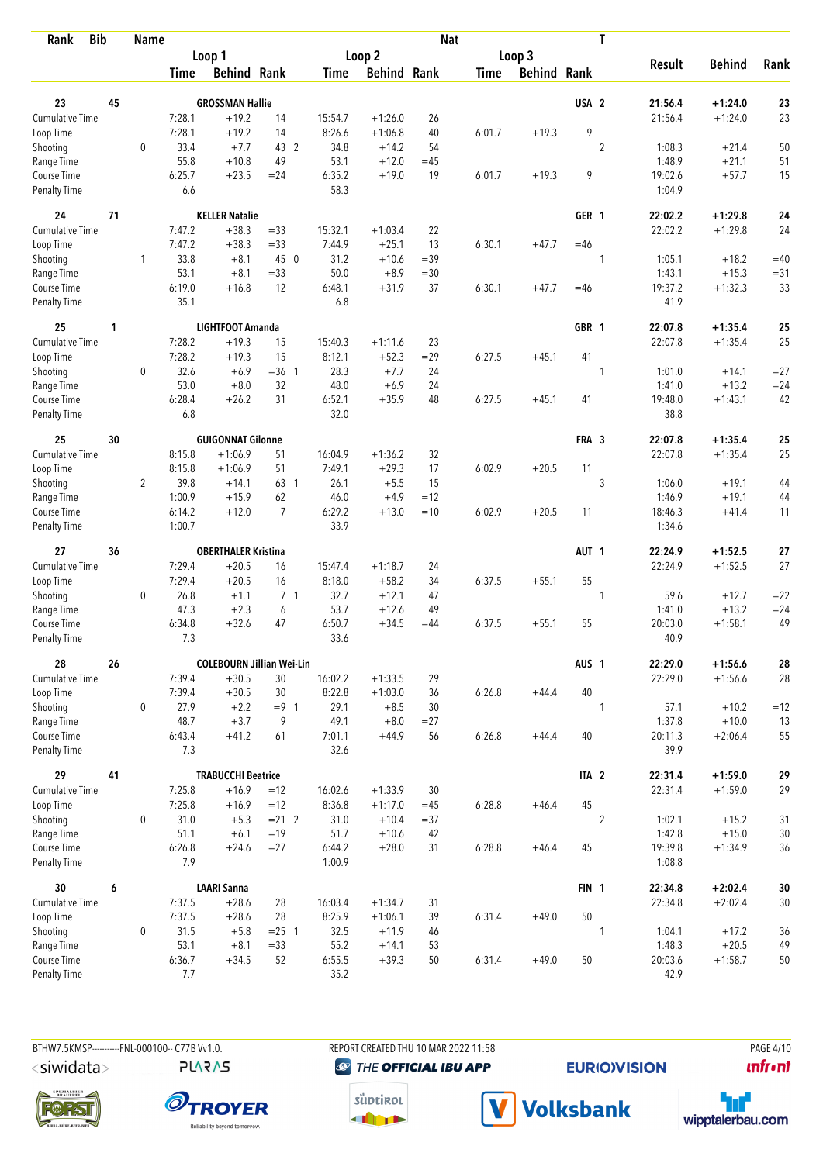| <b>Bib</b><br>Rank          |    | <b>Name</b>    |               |                                      |                   |                |                    | <b>Nat</b>   |             |                    |                  | T              |                  |                      |              |
|-----------------------------|----|----------------|---------------|--------------------------------------|-------------------|----------------|--------------------|--------------|-------------|--------------------|------------------|----------------|------------------|----------------------|--------------|
|                             |    |                |               | Loop 1                               |                   |                | Loop 2             |              |             | Loop 3             |                  |                |                  |                      |              |
|                             |    |                | Time          | <b>Behind Rank</b>                   |                   | Time           | <b>Behind Rank</b> |              | <b>Time</b> | <b>Behind Rank</b> |                  |                | <b>Result</b>    | <b>Behind</b>        | Rank         |
| 23                          | 45 |                |               | <b>GROSSMAN Hallie</b>               |                   |                |                    |              |             |                    | USA <sub>2</sub> |                | 21:56.4          | $+1:24.0$            | 23           |
| <b>Cumulative Time</b>      |    |                | 7:28.1        | $+19.2$                              | 14                | 15:54.7        | $+1:26.0$          | 26           |             |                    |                  |                | 21:56.4          | $+1:24.0$            | 23           |
| Loop Time                   |    |                | 7:28.1        | $+19.2$                              | 14                | 8:26.6         | $+1:06.8$          | 40           | 6:01.7      | $+19.3$            | 9                |                |                  |                      |              |
| Shooting                    |    | $\mathbf 0$    | 33.4          | $+7.7$                               | 43 2              | 34.8           | $+14.2$            | 54           |             |                    |                  | $\overline{2}$ | 1:08.3           | $+21.4$              | 50           |
| Range Time                  |    |                | 55.8          | $+10.8$                              | 49                | 53.1           | $+12.0$            | $=45$        |             |                    |                  |                | 1:48.9           | $+21.1$              | 51           |
| Course Time                 |    |                | 6:25.7        | $+23.5$                              | $= 24$            | 6:35.2         | $+19.0$            | 19           | 6:01.7      | $+19.3$            | 9                |                | 19:02.6          | $+57.7$              | 15           |
| <b>Penalty Time</b>         |    |                | 6.6           |                                      |                   | 58.3           |                    |              |             |                    |                  |                | 1:04.9           |                      |              |
| 24                          | 71 |                |               | <b>KELLER Natalie</b>                |                   |                |                    |              |             |                    | GER 1            |                | 22:02.2          | $+1:29.8$            | 24           |
| Cumulative Time             |    |                | 7:47.2        | $+38.3$                              | $= 33$            | 15:32.1        | $+1:03.4$          | 22           |             |                    |                  |                | 22:02.2          | $+1:29.8$            | 24           |
| Loop Time                   |    |                | 7:47.2        | $+38.3$                              | $= 33$            | 7:44.9         | $+25.1$            | 13           | 6:30.1      | $+47.7$            | $=46$            |                |                  |                      |              |
| Shooting                    |    | $\mathbf{1}$   | 33.8          | $+8.1$                               | 45 0              | 31.2           | $+10.6$            | $=39$        |             |                    |                  | 1              | 1:05.1           | $+18.2$              | $=40$        |
| Range Time                  |    |                | 53.1          | $+8.1$                               | $= 33$            | 50.0           | $+8.9$             | $= 30$       |             |                    |                  |                | 1:43.1           | $+15.3$              | $= 31$       |
| Course Time                 |    |                | 6:19.0        | $+16.8$                              | 12                | 6:48.1         | $+31.9$            | 37           | 6:30.1      | $+47.7$            | $=46$            |                | 19:37.2          | $+1:32.3$            | 33           |
| <b>Penalty Time</b>         |    |                | 35.1          |                                      |                   | 6.8            |                    |              |             |                    |                  |                | 41.9             |                      |              |
| 25                          | 1  |                |               | LIGHTFOOT Amanda                     |                   |                |                    |              |             |                    | GBR 1            |                | 22:07.8          | $+1:35.4$            | 25           |
| <b>Cumulative Time</b>      |    |                | 7:28.2        | $+19.3$                              | 15                | 15:40.3        | $+1:11.6$          | 23           |             |                    |                  |                | 22:07.8          | $+1:35.4$            | 25           |
| Loop Time                   |    |                | 7:28.2        | $+19.3$                              | 15                | 8:12.1         | $+52.3$            | $=29$        | 6:27.5      | $+45.1$            | 41               |                |                  |                      |              |
| Shooting                    |    | 0              | 32.6          | $+6.9$                               | $=36$ 1           | 28.3           | $+7.7$             | 24           |             |                    |                  | 1              | 1:01.0           | $+14.1$              | $= 27$       |
| Range Time                  |    |                | 53.0          | $+8.0$                               | 32                | 48.0           | $+6.9$             | 24           |             |                    |                  |                | 1:41.0           | $+13.2$              | $= 24$       |
| Course Time                 |    |                | 6:28.4        | $+26.2$                              | 31                | 6:52.1         | $+35.9$            | 48           | 6:27.5      | $+45.1$            | 41               |                | 19:48.0          | $+1:43.1$            | 42           |
| <b>Penalty Time</b>         |    |                | 6.8           |                                      |                   | 32.0           |                    |              |             |                    |                  |                | 38.8             |                      |              |
| 25                          | 30 |                |               | <b>GUIGONNAT Gilonne</b>             |                   |                |                    |              |             |                    | FRA 3            |                | 22:07.8          | $+1:35.4$            | 25           |
| <b>Cumulative Time</b>      |    |                | 8:15.8        | $+1:06.9$                            | 51                | 16:04.9        | $+1:36.2$          | 32           |             |                    |                  |                | 22:07.8          | $+1:35.4$            | 25           |
| Loop Time                   |    |                | 8:15.8        | $+1:06.9$                            | 51                | 7:49.1         | $+29.3$            | 17           | 6:02.9      | $+20.5$            | 11               |                |                  |                      |              |
| Shooting                    |    | $\overline{2}$ | 39.8          | $+14.1$                              | 63 1              | 26.1           | $+5.5$             | 15           |             |                    |                  | 3              | 1:06.0           | $+19.1$              | 44           |
| Range Time                  |    |                | 1:00.9        | $+15.9$                              | 62                | 46.0           | $+4.9$             | $=12$        |             |                    |                  |                | 1:46.9           | $+19.1$              | 44           |
| Course Time                 |    |                | 6:14.2        | $+12.0$                              | $\overline{7}$    | 6:29.2         | $+13.0$            | $=10$        | 6:02.9      | $+20.5$            | 11               |                | 18:46.3          | $+41.4$              | 11           |
| <b>Penalty Time</b>         |    |                | 1:00.7        |                                      |                   | 33.9           |                    |              |             |                    |                  |                | 1:34.6           |                      |              |
| 27                          | 36 |                |               | <b>OBERTHALER Kristina</b>           |                   |                |                    |              |             |                    | AUT <sub>1</sub> |                | 22:24.9          | $+1:52.5$            | 27           |
| <b>Cumulative Time</b>      |    |                | 7:29.4        | $+20.5$                              | 16                | 15:47.4        | $+1:18.7$          | 24           |             |                    |                  |                | 22:24.9          | $+1:52.5$            | 27           |
| Loop Time                   |    |                | 7:29.4        | $+20.5$                              | 16                | 8:18.0         | $+58.2$            | 34           | 6:37.5      | $+55.1$            | 55               |                |                  |                      |              |
| Shooting                    |    | $\mathbf 0$    | 26.8          | $+1.1$                               | 7 <sub>1</sub>    | 32.7           | $+12.1$            | 47           |             |                    |                  | 1              | 59.6             | $+12.7$              | $=22$        |
| Range Time                  |    |                | 47.3          | $+2.3$                               | 6                 | 53.7           | $+12.6$            | 49           |             |                    |                  |                | 1:41.0           | $+13.2$              | $= 24$       |
| Course Time                 |    |                | 6:34.8        | $+32.6$                              | 47                | 6:50.7         | $+34.5$            | $=44$        | 6:37.5      | $+55.1$            | 55               |                | 20:03.0          | $+1:58.1$            | 49           |
| <b>Penalty Time</b>         |    |                | 7.3           |                                      |                   | 33.6           |                    |              |             |                    |                  |                | 40.9             |                      |              |
| 28                          | 26 |                |               | <b>COLEBOURN Jillian Wei-Lin</b>     |                   |                |                    |              |             |                    | AUS <sub>1</sub> |                | 22:29.0          | $+1:56.6$            | 28           |
| Cumulative Time             |    |                | 7:39.4        | $+30.5$                              | 30                | 16:02.2        | $+1:33.5$          | 29           |             |                    |                  |                | 22:29.0          | $+1:56.6$            | 28           |
| Loop Time                   |    |                | 7:39.4        | $+30.5$                              | 30                | 8:22.8         | $+1:03.0$          | 36           | 6:26.8      | $+44.4$            | 40               |                |                  |                      |              |
| Shooting                    |    | 0              | 27.9          | $+2.2$                               | $= 9 \quad 1$     | 29.1           | $+8.5$             | 30           |             |                    |                  | 1              | 57.1             | $+10.2$              | $=12$        |
| Range Time                  |    |                | 48.7          | $+3.7$                               | 9                 | 49.1           | $+8.0$             | $= 27$       |             |                    |                  |                | 1:37.8           | $+10.0$              | 13           |
| Course Time<br>Penalty Time |    |                | 6:43.4<br>7.3 | $+41.2$                              | 61                | 7:01.1<br>32.6 | $+44.9$            | 56           | 6:26.8      | $+44.4$            | 40               |                | 20:11.3<br>39.9  | $+2:06.4$            | 55           |
| 29                          | 41 |                |               |                                      |                   |                |                    |              |             |                    |                  |                | 22:31.4          |                      |              |
| <b>Cumulative Time</b>      |    |                |               | <b>TRABUCCHI Beatrice</b><br>$+16.9$ |                   |                |                    | 30           |             |                    | ITA <sub>2</sub> |                |                  | $+1:59.0$            | 29           |
| Loop Time                   |    |                | 7:25.8        | $+16.9$                              | $=12$<br>$=12$    | 16:02.6        | $+1:33.9$          |              |             | $+46.4$            | 45               |                | 22:31.4          | $+1:59.0$            | 29           |
|                             |    |                | 7:25.8        |                                      |                   | 8:36.8         | $+1:17.0$          | $=45$        | 6:28.8      |                    |                  |                |                  |                      |              |
| Shooting                    |    | 0              | 31.0<br>51.1  | $+5.3$<br>$+6.1$                     | $= 21$ 2<br>$=19$ | 31.0           | $+10.4$            | $= 37$<br>42 |             |                    |                  | $\overline{2}$ | 1:02.1<br>1:42.8 | $+15.2$              | 31           |
| Range Time<br>Course Time   |    |                | 6:26.8        | $+24.6$                              | $= 27$            | 51.7<br>6:44.2 | $+10.6$<br>$+28.0$ | 31           | 6:28.8      | $+46.4$            | 45               |                | 19:39.8          | $+15.0$<br>$+1:34.9$ | $30\,$<br>36 |
| Penalty Time                |    |                | 7.9           |                                      |                   | 1:00.9         |                    |              |             |                    |                  |                | 1:08.8           |                      |              |
| 30                          | 6  |                |               | <b>LAARI Sanna</b>                   |                   |                |                    |              |             |                    | FIN <sub>1</sub> |                | 22:34.8          | $+2:02.4$            | $30\,$       |
| Cumulative Time             |    |                | 7:37.5        | $+28.6$                              | 28                | 16:03.4        | $+1:34.7$          | 31           |             |                    |                  |                | 22:34.8          | $+2:02.4$            | 30           |
| Loop Time                   |    |                | 7:37.5        | $+28.6$                              | 28                | 8:25.9         | $+1:06.1$          | 39           | 6:31.4      | $+49.0$            | 50               |                |                  |                      |              |
| Shooting                    |    | $\mathbf 0$    | 31.5          | $+5.8$                               | $= 25$ 1          | 32.5           | $+11.9$            | 46           |             |                    |                  | 1              | 1:04.1           | $+17.2$              | 36           |
| Range Time                  |    |                | 53.1          | $+8.1$                               | $= 33$            | 55.2           | $+14.1$            | 53           |             |                    |                  |                | 1:48.3           | $+20.5$              | 49           |
| Course Time                 |    |                | 6:36.7        | $+34.5$                              | 52                | 6:55.5         | $+39.3$            | 50           | 6:31.4      | $+49.0$            | 50               |                | 20:03.6          | $+1:58.7$            | $50\,$       |
| Penalty Time                |    |                | 7.7           |                                      |                   | 35.2           |                    |              |             |                    |                  |                | 42.9             |                      |              |

**PLARAS** 

BTHW7.5KMSP----------FNL-000100-- C77B Vv1.0. REPORT CREATED THU 10 MAR 2022 11:58 PAGE 4/10 **@** THE OFFICIAL IBU APP

**EURIO)VISION** 

*<u><u>Infront</u>*</u>









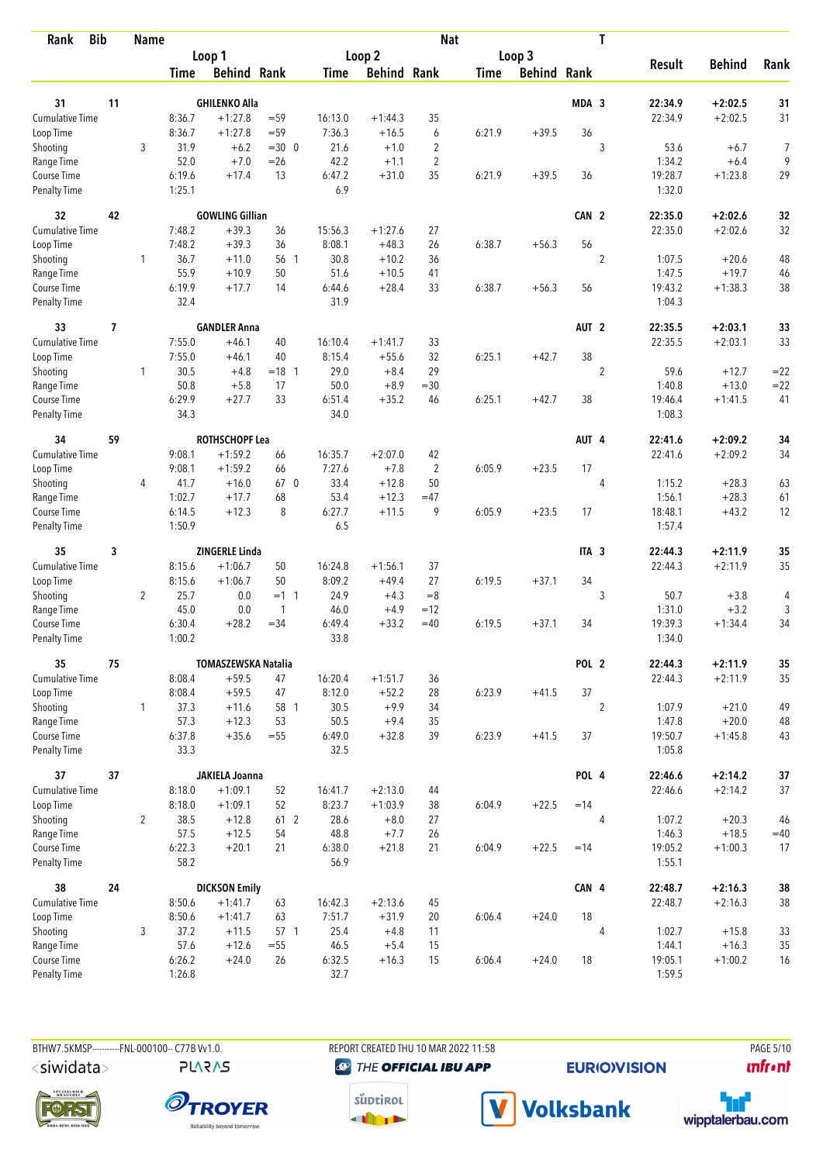| <b>Bib</b><br>Rank           |    | <b>Name</b>    |                |                            |                |                |                    | <b>Nat</b>                       |             |                    |                  | T              |                   |                     |        |
|------------------------------|----|----------------|----------------|----------------------------|----------------|----------------|--------------------|----------------------------------|-------------|--------------------|------------------|----------------|-------------------|---------------------|--------|
|                              |    |                |                | Loop 1                     |                |                | Loop <sub>2</sub>  |                                  |             | Loop 3             |                  |                |                   |                     |        |
|                              |    |                | <b>Time</b>    | <b>Behind Rank</b>         |                | Time           | <b>Behind Rank</b> |                                  | <b>Time</b> | <b>Behind Rank</b> |                  |                | <b>Result</b>     | <b>Behind</b>       | Rank   |
|                              |    |                |                |                            |                |                |                    |                                  |             |                    |                  |                |                   |                     |        |
| 31<br><b>Cumulative Time</b> | 11 |                |                | <b>GHILENKO Alla</b>       |                |                |                    |                                  |             |                    | MDA <sub>3</sub> |                | 22:34.9           | $+2:02.5$           | 31     |
|                              |    |                | 8:36.7         | $+1:27.8$                  | $= 59$         | 16:13.0        | $+1:44.3$          | 35                               |             |                    |                  |                | 22:34.9           | $+2:02.5$           | 31     |
| Loop Time                    |    |                | 8:36.7         | $+1:27.8$                  | $= 59$         | 7:36.3         | $+16.5$            | 6                                | 6:21.9      | $+39.5$            | 36               |                |                   |                     |        |
| Shooting                     |    | 3              | 31.9<br>52.0   | $+6.2$<br>$+7.0$           | $=300$         | 21.6<br>42.2   | $+1.0$<br>$+1.1$   | $\overline{2}$<br>$\overline{2}$ |             |                    |                  | 3              | 53.6<br>1:34.2    | $+6.7$              | 7<br>9 |
| Range Time<br>Course Time    |    |                | 6:19.6         | $+17.4$                    | $=26$<br>13    | 6:47.2         | $+31.0$            | 35                               | 6:21.9      | $+39.5$            | 36               |                | 19:28.7           | $+6.4$<br>$+1:23.8$ | 29     |
| <b>Penalty Time</b>          |    |                | 1:25.1         |                            |                | 6.9            |                    |                                  |             |                    |                  |                | 1:32.0            |                     |        |
| 32                           | 42 |                |                | <b>GOWLING Gillian</b>     |                |                |                    |                                  |             |                    | CAN 2            |                | 22:35.0           | $+2:02.6$           | 32     |
| Cumulative Time              |    |                | 7:48.2         | $+39.3$                    | 36             | 15:56.3        | $+1:27.6$          | 27                               |             |                    |                  |                | 22:35.0           | $+2:02.6$           | 32     |
| Loop Time                    |    |                | 7:48.2         | $+39.3$                    | 36             | 8:08.1         | $+48.3$            | 26                               | 6:38.7      | $+56.3$            | 56               |                |                   |                     |        |
| Shooting                     |    | 1              | 36.7           | $+11.0$                    | 56 1           | 30.8           | $+10.2$            | 36                               |             |                    |                  | $\overline{2}$ | 1:07.5            | $+20.6$             | 48     |
| Range Time                   |    |                | 55.9           | $+10.9$                    | 50             | 51.6           | $+10.5$            | 41                               |             |                    |                  |                | 1:47.5            | $+19.7$             | 46     |
| Course Time                  |    |                | 6:19.9         | $+17.7$                    | 14             | 6:44.6         | $+28.4$            | 33                               | 6:38.7      | $+56.3$            | 56               |                | 19:43.2           | $+1:38.3$           | 38     |
| <b>Penalty Time</b>          |    |                | 32.4           |                            |                | 31.9           |                    |                                  |             |                    |                  |                | 1:04.3            |                     |        |
| 33                           | 7  |                |                | <b>GANDLER Anna</b>        |                |                |                    |                                  |             |                    | AUT <sub>2</sub> |                | 22:35.5           | $+2:03.1$           | 33     |
| <b>Cumulative Time</b>       |    |                | 7:55.0         | $+46.1$                    | 40             | 16:10.4        | $+1:41.7$          | 33                               |             |                    |                  |                | 22:35.5           | $+2:03.1$           | 33     |
| Loop Time                    |    |                | 7:55.0         | $+46.1$                    | 40             | 8:15.4         | $+55.6$            | 32                               | 6:25.1      | $+42.7$            | 38               |                |                   |                     |        |
| Shooting                     |    | $\mathbf{1}$   | 30.5           | $+4.8$                     | $= 18$ 1       | 29.0           | $+8.4$             | 29                               |             |                    |                  | $\overline{c}$ | 59.6              | $+12.7$             | $= 22$ |
| Range Time                   |    |                | 50.8           | $+5.8$                     | 17             | 50.0           | $+8.9$             | $=30$                            |             |                    |                  |                | 1:40.8            | $+13.0$             | $= 22$ |
| Course Time                  |    |                | 6:29.9         | $+27.7$                    | 33             | 6:51.4         | $+35.2$            | 46                               | 6:25.1      | $+42.7$            | 38               |                | 19:46.4           | $+1:41.5$           | 41     |
| <b>Penalty Time</b>          |    |                | 34.3           |                            |                | 34.0           |                    |                                  |             |                    |                  |                | 1:08.3            |                     |        |
| 34                           | 59 |                |                | <b>ROTHSCHOPF Lea</b>      |                |                |                    |                                  |             |                    | AUT 4            |                | 22:41.6           | $+2:09.2$           | 34     |
| Cumulative Time              |    |                | 9:08.1         | $+1:59.2$                  | 66             | 16:35.7        | $+2:07.0$          | 42                               |             |                    |                  |                | 22:41.6           | $+2:09.2$           | 34     |
| Loop Time                    |    |                | 9:08.1         | $+1:59.2$                  | 66             | 7:27.6         | $+7.8$             | $\overline{2}$                   | 6:05.9      | $+23.5$            | 17               |                |                   |                     |        |
| Shooting                     |    | 4              | 41.7           | $+16.0$                    | 67 0           | 33.4           | $+12.8$            | 50                               |             |                    |                  | 4              | 1:15.2            | $+28.3$             | 63     |
| Range Time                   |    |                | 1:02.7         | $+17.7$                    | 68             | 53.4           | $+12.3$            | $=47$                            |             |                    |                  |                | 1:56.1            | $+28.3$             | 61     |
| Course Time                  |    |                | 6:14.5         | $+12.3$                    | 8              | 6:27.7         | $+11.5$            | 9                                | 6:05.9      | $+23.5$            | 17               |                | 18:48.1           | $+43.2$             | 12     |
| <b>Penalty Time</b>          |    |                | 1:50.9         |                            |                | 6.5            |                    |                                  |             |                    |                  |                | 1:57.4            |                     |        |
| 35                           | 3  |                |                | <b>ZINGERLE Linda</b>      |                |                |                    |                                  |             |                    | ITA <sub>3</sub> |                | 22:44.3           | $+2:11.9$           | 35     |
| <b>Cumulative Time</b>       |    |                | 8:15.6         | $+1:06.7$                  | 50             | 16:24.8        | $+1:56.1$          | 37                               |             |                    |                  |                | 22:44.3           | $+2:11.9$           | 35     |
| Loop Time                    |    |                | 8:15.6         | $+1:06.7$                  | 50             | 8:09.2         | $+49.4$            | 27                               | 6:19.5      | $+37.1$            | 34               |                |                   |                     |        |
| Shooting                     |    | $\overline{2}$ | 25.7           | 0.0                        | $=1 \ 1$       | 24.9           | $+4.3$             | $=8$                             |             |                    |                  | 3              | 50.7              | $+3.8$              | 4      |
| Range Time                   |    |                | 45.0           | 0.0                        | $\overline{1}$ | 46.0           | $+4.9$             | $=12$                            |             |                    |                  |                | 1:31.0            | $+3.2$              | 3      |
| Course Time                  |    |                | 6:30.4         | $+28.2$                    | $= 34$         | 6:49.4         | $+33.2$            | $=40$                            | 6:19.5      | $+37.1$            | 34               |                | 19:39.3           | $+1:34.4$           | 34     |
| <b>Penalty Time</b>          |    |                | 1:00.2         |                            |                | 33.8           |                    |                                  |             |                    |                  |                | 1:34.0            |                     |        |
| 35                           | 75 |                |                | <b>TOMASZEWSKA Natalia</b> |                |                |                    |                                  |             |                    | POL 2            |                | 22:44.3           | $+2:11.9$           | 35     |
| <b>Cumulative Time</b>       |    |                | 8:08.4         | $+59.5$                    | 47             | 16:20.4        | $+1:51.7$          | 36                               |             |                    |                  |                | 22:44.3           | $+2:11.9$           | 35     |
| Loop Time                    |    |                | 8:08.4         | $+59.5$                    | 47             | 8:12.0         | $+52.2$            | 28                               | 6:23.9      | $+41.5$            | 37               |                |                   |                     |        |
| Shooting                     |    | $\mathbf{1}$   | 37.3           | $+11.6$                    | 58 1           | 30.5           | $+9.9$             | 34                               |             |                    |                  | $\overline{2}$ | 1:07.9            | $+21.0$             | 49     |
| Range Time                   |    |                | 57.3           | $+12.3$                    | 53             | 50.5           | $+9.4$             | 35                               |             |                    |                  |                | 1:47.8            | $+20.0$             | 48     |
| Course Time<br>Penalty Time  |    |                | 6:37.8<br>33.3 | $+35.6$                    | $=55$          | 6:49.0<br>32.5 | $+32.8$            | 39                               | 6:23.9      | $+41.5$            | 37               |                | 19:50.7<br>1:05.8 | $+1:45.8$           | 43     |
| 37                           | 37 |                |                | <b>JAKIELA Joanna</b>      |                |                |                    |                                  |             |                    | POL 4            |                | 22:46.6           | $+2:14.2$           | $37\,$ |
| <b>Cumulative Time</b>       |    |                | 8:18.0         | $+1:09.1$                  | 52             | 16:41.7        | $+2:13.0$          | 44                               |             |                    |                  |                | 22:46.6           | $+2:14.2$           | 37     |
| Loop Time                    |    |                | 8:18.0         | $+1:09.1$                  | 52             | 8:23.7         | $+1:03.9$          | 38                               | 6:04.9      | $+22.5$            | $=14$            |                |                   |                     |        |
| Shooting                     |    | $\overline{2}$ | 38.5           | $+12.8$                    | 61 2           | 28.6           | $+8.0$             | 27                               |             |                    |                  | 4              | 1:07.2            | $+20.3$             | 46     |
| Range Time                   |    |                | 57.5           | $+12.5$                    | 54             | 48.8           | $+7.7$             | 26                               |             |                    |                  |                | 1:46.3            | $+18.5$             | $=40$  |
| Course Time                  |    |                | 6:22.3         | $+20.1$                    | 21             | 6:38.0         | $+21.8$            | 21                               | 6:04.9      | $+22.5$            | $=14$            |                | 19:05.2           | $+1:00.3$           | 17     |
| Penalty Time                 |    |                | 58.2           |                            |                | 56.9           |                    |                                  |             |                    |                  |                | 1:55.1            |                     |        |
| 38                           | 24 |                |                | <b>DICKSON Emily</b>       |                |                |                    |                                  |             |                    | CAN 4            |                | 22:48.7           | $+2:16.3$           | 38     |
| <b>Cumulative Time</b>       |    |                | 8:50.6         | $+1:41.7$                  | 63             | 16:42.3        | $+2:13.6$          | 45                               |             |                    |                  |                | 22:48.7           | $+2:16.3$           | $38\,$ |
| Loop Time                    |    |                | 8:50.6         | $+1:41.7$                  | 63             | 7:51.7         | $+31.9$            | 20                               | 6:06.4      | $+24.0$            | 18               |                |                   |                     |        |
| Shooting                     |    | 3              | 37.2           | $+11.5$                    | 57 1           | 25.4           | $+4.8$             | 11                               |             |                    |                  | 4              | 1:02.7            | $+15.8$             | 33     |
| Range Time                   |    |                | 57.6           | $+12.6$                    | $=55$          | 46.5           | $+5.4$             | 15                               |             |                    |                  |                | 1:44.1            | $+16.3$             | 35     |
| Course Time                  |    |                | 6:26.2         | $+24.0$                    | 26             | 6:32.5         | $+16.3$            | 15                               | 6:06.4      | $+24.0$            | 18               |                | 19:05.1           | $+1:00.2$           | 16     |
| Penalty Time                 |    |                | 1:26.8         |                            |                | 32.7           |                    |                                  |             |                    |                  |                | 1:59.5            |                     |        |

**PLARAS** 

BTHW7.5KMSP----------FNL-000100-- C77B Vv1.0. REPORT CREATED THU 10 MAR 2022 11:58 PAGE 5/10 **@** THE OFFICIAL IBU APP

**EURIO)VISION** 

*<u><u>Infront</u>*</u>







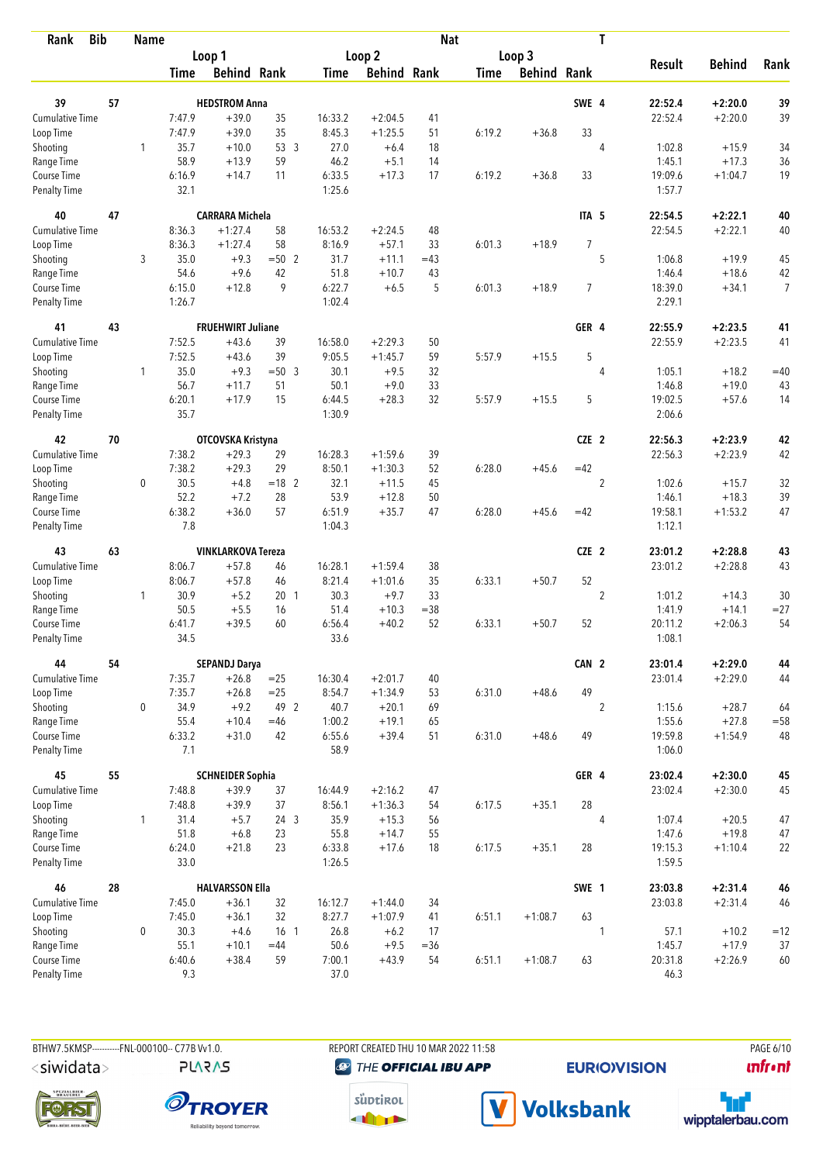| <b>Bib</b><br>Rank          |    | <b>Name</b>  |                |                           |                          |                  |                    | <b>Nat</b>   |             |                    |                  | T              |                   |                    |                |
|-----------------------------|----|--------------|----------------|---------------------------|--------------------------|------------------|--------------------|--------------|-------------|--------------------|------------------|----------------|-------------------|--------------------|----------------|
|                             |    |              |                | Loop 1                    |                          |                  | Loop 2             |              |             | Loop 3             |                  |                |                   |                    |                |
|                             |    |              | Time           | <b>Behind Rank</b>        |                          | Time             | <b>Behind Rank</b> |              | <b>Time</b> | <b>Behind Rank</b> |                  |                | <b>Result</b>     | <b>Behind</b>      | Rank           |
| 39                          | 57 |              |                | <b>HEDSTROM Anna</b>      |                          |                  |                    |              |             |                    | SWE 4            |                | 22:52.4           | $+2:20.0$          | 39             |
| <b>Cumulative Time</b>      |    |              | 7:47.9         | $+39.0$                   | 35                       | 16:33.2          | $+2:04.5$          | 41           |             |                    |                  |                | 22:52.4           | $+2:20.0$          | 39             |
| Loop Time                   |    |              | 7:47.9         | $+39.0$                   | 35                       | 8:45.3           | $+1:25.5$          | 51           | 6:19.2      | $+36.8$            | 33               |                |                   |                    |                |
| Shooting                    |    | $\mathbf{1}$ | 35.7           | $+10.0$                   | 53 3                     | 27.0             | $+6.4$             | 18           |             |                    |                  | $\overline{4}$ | 1:02.8            | $+15.9$            | 34             |
| Range Time                  |    |              | 58.9           | $+13.9$                   | 59                       | 46.2             | $+5.1$             | 14           |             |                    |                  |                | 1:45.1            | $+17.3$            | 36             |
| Course Time                 |    |              | 6:16.9         | $+14.7$                   | 11                       | 6:33.5           | $+17.3$            | 17           | 6:19.2      | $+36.8$            | 33               |                | 19:09.6           | $+1:04.7$          | 19             |
| <b>Penalty Time</b>         |    |              | 32.1           |                           |                          | 1:25.6           |                    |              |             |                    |                  |                | 1:57.7            |                    |                |
| 40                          | 47 |              |                | <b>CARRARA Michela</b>    |                          |                  |                    |              |             |                    | ITA <sub>5</sub> |                | 22:54.5           | $+2:22.1$          | 40             |
| Cumulative Time             |    |              | 8:36.3         | $+1:27.4$                 | 58                       | 16:53.2          | $+2:24.5$          | 48           |             |                    |                  |                | 22:54.5           | $+2:22.1$          | 40             |
| Loop Time                   |    |              | 8:36.3         | $+1:27.4$                 | 58                       | 8:16.9           | $+57.1$            | 33           | 6:01.3      | $+18.9$            | $\overline{7}$   |                |                   |                    |                |
| Shooting                    |    | 3            | 35.0           | $+9.3$                    | $= 502$                  | 31.7             | $+11.1$            | $=43$        |             |                    |                  | 5              | 1:06.8            | $+19.9$            | 45             |
| Range Time                  |    |              | 54.6           | $+9.6$                    | 42                       | 51.8             | $+10.7$            | 43           |             |                    |                  |                | 1:46.4            | $+18.6$            | 42             |
| Course Time                 |    |              | 6:15.0         | $+12.8$                   | 9                        | 6:22.7           | $+6.5$             | 5            | 6:01.3      | $+18.9$            | $\overline{7}$   |                | 18:39.0           | $+34.1$            | $\overline{7}$ |
| Penalty Time                |    |              | 1:26.7         |                           |                          | 1:02.4           |                    |              |             |                    |                  |                | 2:29.1            |                    |                |
| 41                          | 43 |              |                | <b>FRUEHWIRT Juliane</b>  |                          |                  |                    |              |             |                    | GER 4            |                | 22:55.9           | $+2:23.5$          | 41             |
| Cumulative Time             |    |              | 7:52.5         | $+43.6$                   | 39                       | 16:58.0          | $+2:29.3$          | 50           |             |                    |                  |                | 22:55.9           | $+2:23.5$          | 41             |
| Loop Time                   |    |              | 7:52.5         | $+43.6$                   | 39                       | 9:05.5           | $+1:45.7$          | 59           | 5:57.9      | $+15.5$            | 5                |                |                   |                    |                |
| Shooting                    |    | $\mathbf{1}$ | 35.0           | $+9.3$                    | $=50$ 3                  | 30.1             | $+9.5$             | 32           |             |                    |                  | $\overline{4}$ | 1:05.1            | $+18.2$            | $=40$          |
| Range Time                  |    |              | 56.7           | $+11.7$                   | 51                       | 50.1             | $+9.0$             | 33           |             |                    |                  |                | 1:46.8            | $+19.0$            | 43             |
| Course Time<br>Penalty Time |    |              | 6:20.1<br>35.7 | $+17.9$                   | 15                       | 6:44.5<br>1:30.9 | $+28.3$            | 32           | 5:57.9      | $+15.5$            | 5                |                | 19:02.5<br>2:06.6 | $+57.6$            | 14             |
| 42                          | 70 |              |                | OTCOVSKA Kristyna         |                          |                  |                    |              |             |                    | CZE <sub>2</sub> |                | 22:56.3           | $+2:23.9$          | 42             |
| <b>Cumulative Time</b>      |    |              | 7:38.2         | $+29.3$                   | 29                       | 16:28.3          | $+1:59.6$          | 39           |             |                    |                  |                | 22:56.3           | $+2:23.9$          | 42             |
| Loop Time                   |    |              | 7:38.2         | $+29.3$                   | 29                       | 8:50.1           | $+1:30.3$          | 52           | 6:28.0      | $+45.6$            | $=42$            |                |                   |                    |                |
| Shooting                    |    | 0            | 30.5           | $+4.8$                    | $= 18$ 2                 | 32.1             | $+11.5$            | 45           |             |                    |                  | $\overline{2}$ | 1:02.6            | $+15.7$            | 32             |
| Range Time                  |    |              | 52.2           | $+7.2$                    | 28                       | 53.9             | $+12.8$            | 50           |             |                    |                  |                | 1:46.1            | $+18.3$            | 39             |
| Course Time                 |    |              | 6:38.2         | $+36.0$                   | 57                       | 6:51.9           | $+35.7$            | 47           | 6:28.0      | $+45.6$            | $=42$            |                | 19:58.1           | $+1:53.2$          | 47             |
| <b>Penalty Time</b>         |    |              | 7.8            |                           |                          | 1:04.3           |                    |              |             |                    |                  |                | 1:12.1            |                    |                |
| 43                          | 63 |              |                | <b>VINKLARKOVA Tereza</b> |                          |                  |                    |              |             |                    | CZE 2            |                | 23:01.2           | $+2:28.8$          | 43             |
| Cumulative Time             |    |              | 8:06.7         | $+57.8$                   | 46                       | 16:28.1          | $+1:59.4$          | 38           |             |                    |                  |                | 23:01.2           | $+2:28.8$          | 43             |
| Loop Time                   |    |              | 8:06.7         | $+57.8$                   | 46                       | 8:21.4           | $+1:01.6$          | 35           | 6:33.1      | $+50.7$            | 52               |                |                   |                    |                |
| Shooting                    |    | 1            | 30.9           | $+5.2$                    | 20 <sub>1</sub>          | 30.3             | $+9.7$             | 33           |             |                    |                  | $\overline{2}$ | 1:01.2            | $+14.3$            | 30             |
| Range Time                  |    |              | 50.5           | $+5.5$                    | 16                       | 51.4             | $+10.3$            | $= 38$       |             |                    |                  |                | 1:41.9            | $+14.1$            | $= 27$         |
| Course Time                 |    |              | 6:41.7         | $+39.5$                   | 60                       | 6:56.4           | $+40.2$            | 52           | 6:33.1      | $+50.7$            | 52               |                | 20:11.2           | $+2:06.3$          | 54             |
| <b>Penalty Time</b>         |    |              | 34.5           |                           |                          | 33.6             |                    |              |             |                    |                  |                | 1:08.1            |                    |                |
| 44                          | 54 |              |                | <b>SEPANDJ Darya</b>      |                          |                  |                    |              |             |                    | CAN 2            |                | 23:01.4           | $+2:29.0$          | 44             |
| <b>Cumulative Time</b>      |    |              | 7:35.7         | $+26.8$                   | $=25$                    | 16:30.4          | $+2:01.7$          | 40           |             |                    |                  |                | 23:01.4           | $+2:29.0$          | 44             |
| Loop Time                   |    |              | 7:35.7         | $+26.8$                   | $=25$                    | 8:54.7           | $+1:34.9$          | 53           | 6:31.0      | $+48.6$            | 49               |                |                   |                    |                |
| Shooting<br>Range Time      |    | 0            | 34.9<br>55.4   | $+9.2$<br>$+10.4$         | 49 2<br>$=46$            | 40.7<br>1:00.2   | $+20.1$<br>$+19.1$ | 69<br>65     |             |                    |                  | $\overline{2}$ | 1:15.6<br>1:55.6  | $+28.7$<br>$+27.8$ | 64<br>$=58$    |
| Course Time                 |    |              | 6:33.2         | $+31.0$                   | 42                       | 6:55.6           | $+39.4$            | 51           | 6:31.0      | $+48.6$            | 49               |                | 19:59.8           | $+1:54.9$          | 48             |
| Penalty Time                |    |              | 7.1            |                           |                          | 58.9             |                    |              |             |                    |                  |                | 1:06.0            |                    |                |
| 45                          | 55 |              |                | <b>SCHNEIDER Sophia</b>   |                          |                  |                    |              |             |                    | GER 4            |                | 23:02.4           | $+2:30.0$          | 45             |
| Cumulative Time             |    |              | 7:48.8         | $+39.9$                   | 37                       | 16:44.9          | $+2:16.2$          | 47           |             |                    |                  |                | 23:02.4           | $+2:30.0$          | 45             |
| Loop Time                   |    |              | 7:48.8         | $+39.9$                   | 37                       | 8:56.1           | $+1:36.3$          | 54           | 6:17.5      | $+35.1$            | 28               |                |                   |                    |                |
| Shooting                    |    | 1            | 31.4           | $+5.7$                    | 24 <sub>3</sub>          | 35.9             | $+15.3$            | 56           |             |                    |                  | 4              | 1:07.4            | $+20.5$            | 47             |
| Range Time                  |    |              | 51.8           | $+6.8$                    | 23                       | 55.8             | $+14.7$            | 55           |             |                    |                  |                | 1:47.6            | $+19.8$            | 47             |
| Course Time                 |    |              | 6:24.0         | $+21.8$                   | 23                       | 6:33.8           | $+17.6$            | 18           | 6:17.5      | $+35.1$            | 28               |                | 19:15.3           | $+1:10.4$          | 22             |
| Penalty Time                |    |              | 33.0           |                           |                          | 1:26.5           |                    |              |             |                    |                  |                | 1:59.5            |                    |                |
| 46                          | 28 |              |                | <b>HALVARSSON Ella</b>    |                          |                  |                    |              |             |                    | SWE 1            |                | 23:03.8           | $+2:31.4$          | 46             |
| Cumulative Time             |    |              | 7:45.0         | $+36.1$                   | 32                       | 16:12.7          | $+1:44.0$          | 34           |             |                    |                  |                | 23:03.8           | $+2:31.4$          | 46             |
| Loop Time                   |    |              | 7:45.0         | $+36.1$                   | 32                       | 8:27.7           | $+1:07.9$          | 41           | 6:51.1      | $+1:08.7$          | 63               |                |                   |                    |                |
| Shooting                    |    | 0            | 30.3<br>55.1   | $+4.6$<br>$+10.1$         | 16 <sub>1</sub><br>$=44$ | 26.8<br>50.6     | $+6.2$<br>$+9.5$   | 17<br>$= 36$ |             |                    |                  | 1              | 57.1<br>1:45.7    | $+10.2$<br>$+17.9$ | $=12$<br>37    |
| Range Time<br>Course Time   |    |              | 6:40.6         | $+38.4$                   | 59                       | 7:00.1           | $+43.9$            | 54           | 6:51.1      | $+1:08.7$          | 63               |                | 20:31.8           | $+2:26.9$          | 60             |
| <b>Penalty Time</b>         |    |              | 9.3            |                           |                          | 37.0             |                    |              |             |                    |                  |                | 46.3              |                    |                |
|                             |    |              |                |                           |                          |                  |                    |              |             |                    |                  |                |                   |                    |                |

**PLARAS** 

BTHW7.5KMSP----------FNL-000100-- C77B Vv1.0. REPORT CREATED THU 10 MAR 2022 11:58 PAGE 6/10 **@** THE OFFICIAL IBU APP

**EURIO)VISION** 

*<u><u>Infront</u>*</u>







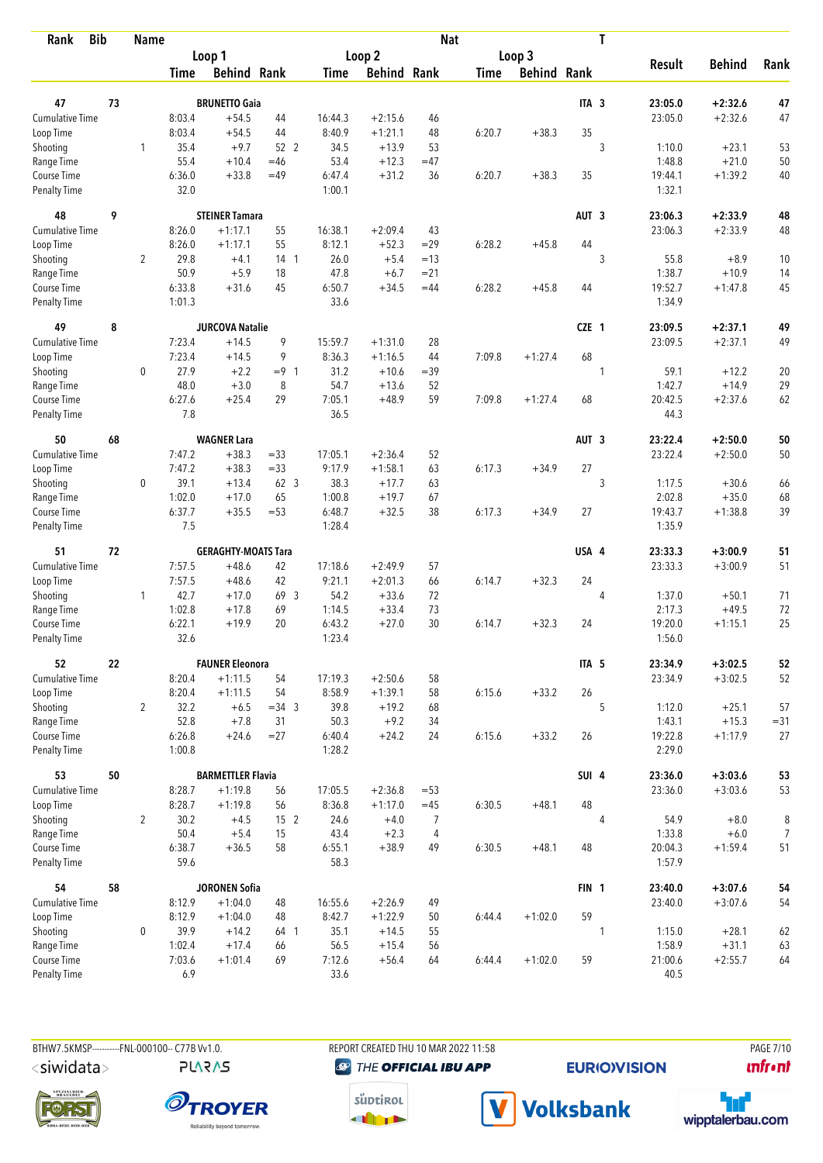| <b>Bib</b><br>Rank          |    | <b>Name</b>    |                  |                            |                 |                   |                     | <b>Nat</b>           |             |                    |                  | T |                   |                     |                        |
|-----------------------------|----|----------------|------------------|----------------------------|-----------------|-------------------|---------------------|----------------------|-------------|--------------------|------------------|---|-------------------|---------------------|------------------------|
|                             |    |                |                  | Loop 1                     |                 |                   | Loop <sub>2</sub>   |                      |             | Loop 3             |                  |   |                   |                     |                        |
|                             |    |                | <b>Time</b>      | <b>Behind Rank</b>         |                 | <b>Time</b>       | <b>Behind Rank</b>  |                      | <b>Time</b> | <b>Behind Rank</b> |                  |   | <b>Result</b>     | <b>Behind</b>       | Rank                   |
|                             |    |                |                  |                            |                 |                   |                     |                      |             |                    |                  |   |                   |                     |                        |
| 47                          | 73 |                |                  | <b>BRUNETTO Gaia</b>       |                 |                   |                     |                      |             |                    | ITA <sub>3</sub> |   | 23:05.0           | $+2:32.6$           | 47                     |
| <b>Cumulative Time</b>      |    |                | 8:03.4           | $+54.5$                    | 44              | 16:44.3           | $+2:15.6$           | 46                   |             |                    |                  |   | 23:05.0           | $+2:32.6$           | 47                     |
| Loop Time                   |    |                | 8:03.4           | $+54.5$                    | 44              | 8:40.9            | $+1:21.1$           | 48                   | 6:20.7      | $+38.3$            | 35               |   |                   |                     |                        |
| Shooting                    |    | 1              | 35.4<br>55.4     | $+9.7$<br>$+10.4$          | 52 2<br>$=46$   | 34.5<br>53.4      | $+13.9$<br>$+12.3$  | 53<br>$=47$          |             |                    |                  | 3 | 1:10.0            | $+23.1$<br>$+21.0$  | 53                     |
| Range Time<br>Course Time   |    |                | 6:36.0           | $+33.8$                    | $=49$           | 6:47.4            | $+31.2$             | 36                   | 6:20.7      | $+38.3$            | 35               |   | 1:48.8<br>19:44.1 | $+1:39.2$           | 50<br>40               |
| <b>Penalty Time</b>         |    |                | 32.0             |                            |                 | 1:00.1            |                     |                      |             |                    |                  |   | 1:32.1            |                     |                        |
| 48                          | 9  |                |                  | <b>STEINER Tamara</b>      |                 |                   |                     |                      |             |                    | AUT <sub>3</sub> |   | 23:06.3           | $+2:33.9$           | 48                     |
| Cumulative Time             |    |                | 8:26.0           | $+1:17.1$                  | 55              | 16:38.1           | $+2:09.4$           | 43                   |             |                    |                  |   | 23:06.3           | $+2:33.9$           | 48                     |
| Loop Time                   |    |                | 8:26.0           | $+1:17.1$                  | 55              | 8:12.1            | $+52.3$             | $=29$                | 6:28.2      | $+45.8$            | 44               |   |                   |                     |                        |
| Shooting                    |    | $\overline{2}$ | 29.8             | $+4.1$                     | 14 <sub>1</sub> | 26.0              | $+5.4$              | $=13$                |             |                    |                  | 3 | 55.8              | $+8.9$              | 10                     |
| Range Time                  |    |                | 50.9             | $+5.9$                     | 18              | 47.8              | $+6.7$              | $= 21$               |             |                    |                  |   | 1:38.7            | $+10.9$             | 14                     |
| Course Time                 |    |                | 6:33.8           | $+31.6$                    | 45              | 6:50.7            | $+34.5$             | $=44$                | 6:28.2      | $+45.8$            | 44               |   | 19:52.7           | $+1:47.8$           | 45                     |
| <b>Penalty Time</b>         |    |                | 1:01.3           |                            |                 | 33.6              |                     |                      |             |                    |                  |   | 1:34.9            |                     |                        |
| 49                          | 8  |                |                  | <b>JURCOVA Natalie</b>     |                 |                   |                     |                      |             |                    | CZE 1            |   | 23:09.5           | $+2:37.1$           | 49                     |
| Cumulative Time             |    |                | 7:23.4           | $+14.5$                    | 9               | 15:59.7           | $+1:31.0$           | 28                   |             |                    |                  |   | 23:09.5           | $+2:37.1$           | 49                     |
| Loop Time                   |    |                | 7:23.4           | $+14.5$                    | 9               | 8:36.3            | $+1:16.5$           | 44                   | 7:09.8      | $+1:27.4$          | 68               |   |                   |                     |                        |
| Shooting                    |    | $\mathbf 0$    | 27.9             | $+2.2$                     | $= 9 \quad 1$   | 31.2              | $+10.6$             | $=39$                |             |                    |                  | 1 | 59.1              | $+12.2$             | 20                     |
| Range Time                  |    |                | 48.0             | $+3.0$                     | 8               | 54.7              | $+13.6$             | 52                   |             |                    |                  |   | 1:42.7            | $+14.9$             | 29                     |
| Course Time                 |    |                | 6:27.6           | $+25.4$                    | 29              | 7:05.1            | $+48.9$             | 59                   | 7:09.8      | $+1:27.4$          | 68               |   | 20:42.5           | $+2:37.6$           | 62                     |
| <b>Penalty Time</b>         |    |                | 7.8              |                            |                 | 36.5              |                     |                      |             |                    |                  |   | 44.3              |                     |                        |
| 50                          | 68 |                |                  | <b>WAGNER Lara</b>         |                 |                   |                     |                      |             |                    | AUT <sub>3</sub> |   | 23:22.4           | $+2:50.0$           | 50                     |
| Cumulative Time             |    |                | 7:47.2           | $+38.3$                    | $= 33$          | 17:05.1           | $+2:36.4$           | 52                   |             |                    |                  |   | 23:22.4           | $+2:50.0$           | 50                     |
| Loop Time                   |    |                | 7:47.2           | $+38.3$                    | $= 33$          | 9:17.9            | $+1:58.1$           | 63                   | 6:17.3      | $+34.9$            | 27               |   |                   |                     |                        |
| Shooting                    |    | 0              | 39.1             | $+13.4$                    | 62 <sub>3</sub> | 38.3              | $+17.7$             | 63                   |             |                    |                  | 3 | 1:17.5            | $+30.6$             | 66                     |
| Range Time                  |    |                | 1:02.0           | $+17.0$                    | 65              | 1:00.8            | $+19.7$             | 67                   |             |                    |                  |   | 2:02.8            | $+35.0$             | 68                     |
| Course Time                 |    |                | 6:37.7           | $+35.5$                    | $= 53$          | 6:48.7            | $+32.5$             | 38                   | 6:17.3      | $+34.9$            | 27               |   | 19:43.7           | $+1:38.8$           | 39                     |
| <b>Penalty Time</b>         |    |                | 7.5              |                            |                 | 1:28.4            |                     |                      |             |                    |                  |   | 1:35.9            |                     |                        |
| 51                          | 72 |                |                  | <b>GERAGHTY-MOATS Tara</b> |                 |                   |                     |                      |             |                    | USA 4            |   | 23:33.3           | $+3:00.9$           | 51                     |
| <b>Cumulative Time</b>      |    |                | 7:57.5           | $+48.6$                    | 42              | 17:18.6           | $+2:49.9$           | 57                   |             |                    |                  |   | 23:33.3           | $+3:00.9$           | 51                     |
| Loop Time                   |    |                | 7:57.5           | $+48.6$                    | 42              | 9:21.1            | $+2:01.3$           | 66                   | 6:14.7      | $+32.3$            | 24               |   |                   |                     |                        |
| Shooting                    |    | $\mathbf{1}$   | 42.7             | $+17.0$                    | 69 3            | 54.2              | $+33.6$             | 72                   |             |                    |                  | 4 | 1:37.0            | $+50.1$             | 71                     |
| Range Time                  |    |                | 1:02.8           | $+17.8$                    | 69              | 1:14.5            | $+33.4$             | 73                   |             |                    |                  |   | 2:17.3            | $+49.5$             | 72                     |
| Course Time                 |    |                | 6:22.1           | $+19.9$                    | 20              | 6:43.2            | $+27.0$             | 30                   | 6:14.7      | $+32.3$            | 24               |   | 19:20.0           | $+1:15.1$           | 25                     |
| <b>Penalty Time</b>         |    |                | 32.6             |                            |                 | 1:23.4            |                     |                      |             |                    |                  |   | 1:56.0            |                     |                        |
| 52                          | 22 |                |                  | <b>FAUNER Eleonora</b>     |                 |                   |                     |                      |             |                    | ITA <sub>5</sub> |   | 23:34.9           | $+3:02.5$           | 52                     |
| <b>Cumulative Time</b>      |    |                | 8:20.4           | $+1:11.5$                  | 54              | 17:19.3           | $+2:50.6$           | 58                   |             |                    |                  |   | 23:34.9           | $+3:02.5$           | 52                     |
| Loop Time                   |    |                | 8:20.4           | $+1:11.5$                  | 54              | 8:58.9            | $+1:39.1$           | 58                   | 6:15.6      | $+33.2$            | 26               |   |                   |                     |                        |
| Shooting                    |    | $\overline{2}$ | 32.2             | $+6.5$                     | $=34$ 3         | 39.8              | $+19.2$             | 68                   |             |                    |                  | 5 | 1:12.0            | $+25.1$             | 57                     |
| Range Time                  |    |                | 52.8             | $+7.8$                     | 31              | 50.3              | $+9.2$              | 34                   |             |                    |                  |   | 1:43.1            | $+15.3$             | $= 31$                 |
| Course Time<br>Penalty Time |    |                | 6:26.8<br>1:00.8 | $+24.6$                    | $= 27$          | 6:40.4<br>1:28.2  | $+24.2$             | 24                   | 6:15.6      | $+33.2$            | 26               |   | 19:22.8<br>2:29.0 | $+1:17.9$           | 27                     |
| 53                          | 50 |                |                  | <b>BARMETTLER Flavia</b>   |                 |                   |                     |                      |             |                    | SUI 4            |   | 23:36.0           | $+3:03.6$           | 53                     |
| <b>Cumulative Time</b>      |    |                |                  |                            | 56              |                   |                     | $= 53$               |             |                    |                  |   |                   | $+3:03.6$           |                        |
|                             |    |                | 8:28.7           | $+1:19.8$                  | 56              | 17:05.5<br>8:36.8 | $+2:36.8$           |                      |             |                    | 48               |   | 23:36.0           |                     | 53                     |
| Loop Time<br>Shooting       |    |                | 8:28.7<br>30.2   | $+1:19.8$<br>$+4.5$        | 15 <sup>2</sup> | 24.6              | $+1:17.0$<br>$+4.0$ | $=45$                | 6:30.5      | $+48.1$            |                  |   |                   |                     |                        |
|                             |    | $\overline{2}$ |                  |                            |                 |                   |                     | 7                    |             |                    |                  | 4 | 54.9              | $+8.0$              | $\, 8$                 |
| Range Time<br>Course Time   |    |                | 50.4<br>6:38.7   | $+5.4$<br>$+36.5$          | 15<br>58        | 43.4<br>6:55.1    | $+2.3$<br>$+38.9$   | $\overline{4}$<br>49 | 6:30.5      | $+48.1$            | 48               |   | 1:33.8<br>20:04.3 | $+6.0$<br>$+1:59.4$ | $\boldsymbol{7}$<br>51 |
| Penalty Time                |    |                | 59.6             |                            |                 | 58.3              |                     |                      |             |                    |                  |   | 1:57.9            |                     |                        |
| 54                          | 58 |                |                  | <b>JORONEN Sofia</b>       |                 |                   |                     |                      |             |                    | FIN <sub>1</sub> |   | 23:40.0           | $+3:07.6$           | 54                     |
| <b>Cumulative Time</b>      |    |                | 8:12.9           | $+1:04.0$                  | 48              | 16:55.6           | $+2:26.9$           | 49                   |             |                    |                  |   | 23:40.0           | $+3:07.6$           | 54                     |
| Loop Time                   |    |                | 8:12.9           | $+1:04.0$                  | 48              | 8:42.7            | $+1:22.9$           | 50                   | 6:44.4      | $+1:02.0$          | 59               |   |                   |                     |                        |
| Shooting                    |    | $\mathbf 0$    | 39.9             | $+14.2$                    | 64 1            | 35.1              | $+14.5$             | 55                   |             |                    |                  | 1 | 1:15.0            | $+28.1$             | 62                     |
| Range Time                  |    |                | 1:02.4           | $+17.4$                    | 66              | 56.5              | $+15.4$             | 56                   |             |                    |                  |   | 1:58.9            | $+31.1$             | 63                     |
| Course Time                 |    |                | 7:03.6           | $+1:01.4$                  | 69              | 7:12.6            | $+56.4$             | 64                   | 6:44.4      | $+1:02.0$          | 59               |   | 21:00.6           | $+2:55.7$           | 64                     |
| Penalty Time                |    |                | 6.9              |                            |                 | 33.6              |                     |                      |             |                    |                  |   | 40.5              |                     |                        |

**PLARAS** 

BTHW7.5KMSP----------FNL-000100-- C77B Vv1.0. REPORT CREATED THU 10 MAR 2022 11:58 PAGE 7/10 **@** THE OFFICIAL IBU APP

**EURIO)VISION** 

*<u><u>Infront</u>*</u>







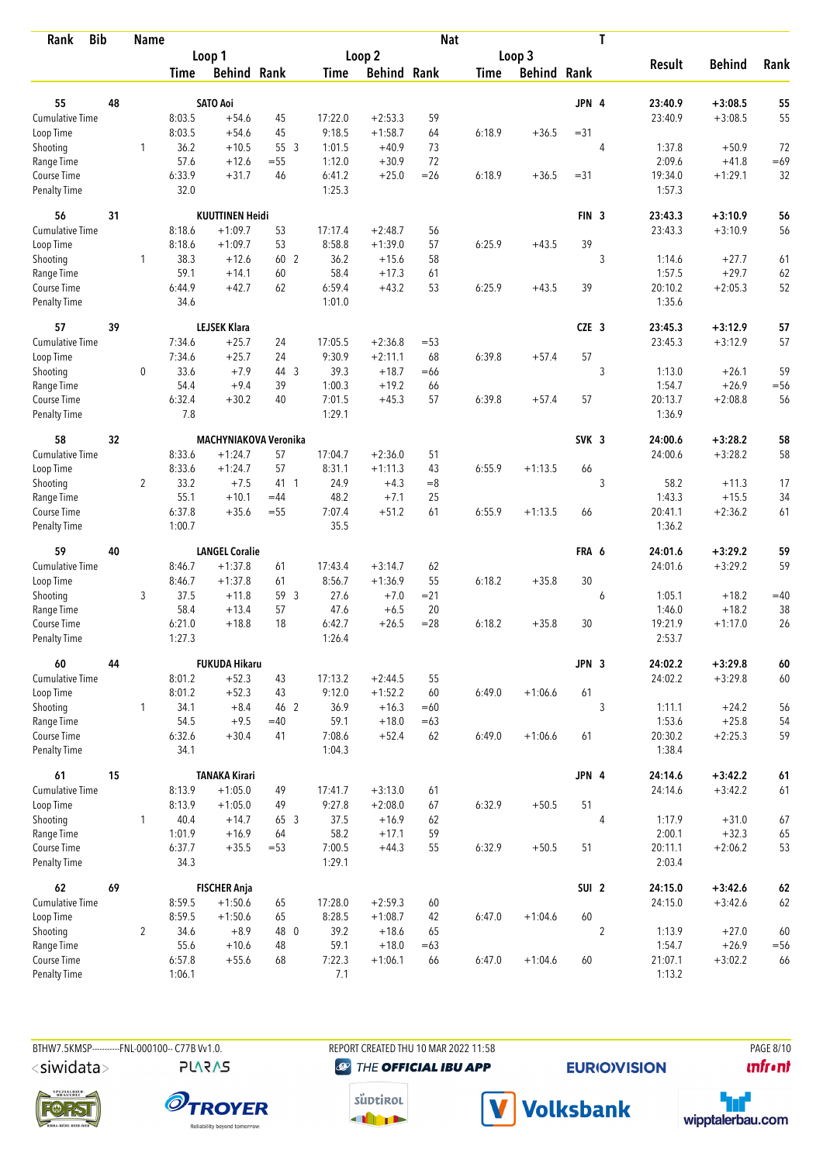| Loop <sub>2</sub><br>Loop 3<br>Loop 1<br><b>Behind</b><br><b>Result</b><br>Rank<br><b>Behind Rank</b><br><b>Behind Rank</b><br><b>Behind Rank</b><br><b>Time</b><br><b>Time</b><br>Time<br>55<br>48<br><b>SATO Aoi</b><br>JPN 4<br>23:40.9<br>$+3:08.5$<br>55<br>Cumulative Time<br>59<br>55<br>8:03.5<br>$+54.6$<br>45<br>17:22.0<br>$+2:53.3$<br>23:40.9<br>$+3:08.5$<br>9:18.5<br>8:03.5<br>45<br>$+1:58.7$<br>64<br>6:18.9<br>$+36.5$<br>$= 31$<br>$+54.6$<br>Loop Time<br>36.2<br>$+10.5$<br>55 3<br>1:01.5<br>$+40.9$<br>73<br>4<br>1:37.8<br>$+50.9$<br>72<br>Shooting<br>1<br>57.6<br>$+30.9$<br>72<br>2:09.6<br>$=69$<br>Range Time<br>$+12.6$<br>$= 55$<br>1:12.0<br>$+41.8$<br>32<br>6:33.9<br>$+31.7$<br>6:41.2<br>$+25.0$<br>$=26$<br>6:18.9<br>$+36.5$<br>$= 31$<br>19:34.0<br>$+1:29.1$<br>Course Time<br>46<br>32.0<br>1:25.3<br>1:57.3<br><b>Penalty Time</b><br><b>KUUTTINEN Heidi</b><br>56<br>31<br>FIN <sub>3</sub><br>23:43.3<br>$+3:10.9$<br>56<br>8:18.6<br>$+1:09.7$<br>53<br>17:17.4<br>$+2:48.7$<br>56<br>23:43.3<br>$+3:10.9$<br>56<br>Cumulative Time<br>39<br>8:18.6<br>$+1:09.7$<br>53<br>8:58.8<br>$+1:39.0$<br>57<br>6:25.9<br>$+43.5$<br>Loop Time<br>3<br>38.3<br>60 2<br>36.2<br>58<br>Shooting<br>1<br>$+12.6$<br>$+15.6$<br>1:14.6<br>$+27.7$<br>61<br>59.1<br>60<br>58.4<br>1:57.5<br>$+29.7$<br>62<br>$+14.1$<br>$+17.3$<br>61<br>Range Time<br>6:44.9<br>$+42.7$<br>62<br>6:59.4<br>$+43.2$<br>53<br>6:25.9<br>$+43.5$<br>39<br>20:10.2<br>$+2:05.3$<br>52<br>Course Time<br>1:35.6<br><b>Penalty Time</b><br>34.6<br>1:01.0<br>57<br>39<br><b>LEJSEK Klara</b><br>CZE <sub>3</sub><br>23:45.3<br>$+3:12.9$<br>57<br>57<br><b>Cumulative Time</b><br>7:34.6<br>$+25.7$<br>24<br>17:05.5<br>$+2:36.8$<br>$= 53$<br>23:45.3<br>$+3:12.9$<br>7:34.6<br>$+25.7$<br>9:30.9<br>$+2:11.1$<br>68<br>6:39.8<br>$+57.4$<br>57<br>Loop Time<br>24<br>3<br>59<br>$\mathbf 0$<br>33.6<br>$+7.9$<br>44 3<br>39.3<br>$+18.7$<br>$=66$<br>1:13.0<br>$+26.1$<br>Shooting<br>54.4<br>$+9.4$<br>39<br>1:00.3<br>$+19.2$<br>1:54.7<br>$+26.9$<br>$=56$<br>Range Time<br>66<br>6:32.4<br>$+30.2$<br>40<br>7:01.5<br>$+45.3$<br>57<br>6:39.8<br>57<br>20:13.7<br>$+2:08.8$<br>56<br>Course Time<br>$+57.4$<br>7.8<br>1:29.1<br>1:36.9<br><b>Penalty Time</b><br>58<br>32<br>MACHYNIAKOVA Veronika<br>SVK <sub>3</sub><br>24:00.6<br>58<br>$+3:28.2$<br>8:33.6<br>17:04.7<br>$+3:28.2$<br>58<br>Cumulative Time<br>$+1:24.7$<br>57<br>$+2:36.0$<br>51<br>24:00.6<br>8:33.6<br>$+1:24.7$<br>57<br>8:31.1<br>Loop Time<br>$+1:11.3$<br>43<br>6:55.9<br>$+1:13.5$<br>66<br>3<br>$\overline{2}$<br>33.2<br>$+7.5$<br>24.9<br>$= 8$<br>58.2<br>17<br>41 1<br>$+4.3$<br>$+11.3$<br>Shooting<br>55.1<br>$+10.1$<br>48.2<br>$+7.1$<br>25<br>1:43.3<br>$+15.5$<br>34<br>$=44$<br>Range Time<br>6:37.8<br>$+35.6$<br>$=55$<br>7:07.4<br>$+51.2$<br>61<br>6:55.9<br>$+1:13.5$<br>20:41.1<br>$+2:36.2$<br>Course Time<br>66<br>61<br>1:00.7<br>35.5<br>1:36.2<br><b>Penalty Time</b><br>59<br>59<br><b>LANGEL Coralie</b><br>24:01.6<br>$+3:29.2$<br>40<br>FRA 6<br>Cumulative Time<br>$+1:37.8$<br>17:43.4<br>62<br>$+3:29.2$<br>59<br>8:46.7<br>61<br>$+3:14.7$<br>24:01.6<br>30<br>8:46.7<br>$+1:37.8$<br>8:56.7<br>$+1:36.9$<br>55<br>6:18.2<br>$+35.8$<br>Loop Time<br>61<br>37.5<br>59 3<br>27.6<br>$+7.0$<br>$= 21$<br>$=40$<br>Shooting<br>3<br>$+11.8$<br>6<br>1:05.1<br>$+18.2$<br>58.4<br>47.6<br>$+6.5$<br>20<br>$+18.2$<br>38<br>Range Time<br>$+13.4$<br>57<br>1:46.0<br>18<br>6:42.7<br>$+26.5$<br>$= 28$<br>6:18.2<br>$+35.8$<br>30<br>19:21.9<br>26<br>Course Time<br>6:21.0<br>$+18.8$<br>$+1:17.0$<br>1:27.3<br>1:26.4<br>2:53.7<br><b>Penalty Time</b><br>60<br>60<br><b>FUKUDA Hikaru</b><br>JPN 3<br>24:02.2<br>$+3:29.8$<br>44<br><b>Cumulative Time</b><br>8:01.2<br>$+52.3$<br>43<br>17:13.2<br>55<br>24:02.2<br>$+3:29.8$<br>60<br>$+2:44.5$<br>Loop Time<br>8:01.2<br>$+52.3$<br>43<br>9:12.0<br>$+1:52.2$<br>6:49.0<br>61<br>60<br>$+1:06.6$<br>34.1<br>$+8.4$<br>46 2<br>36.9<br>3<br>1:11.1<br>56<br>Shooting<br>$\mathbf{1}$<br>$+16.3$<br>$=60$<br>$+24.2$<br>54.5<br>$+9.5$<br>59.1<br>1:53.6<br>$+25.8$<br>54<br>Range Time<br>$=40$<br>$+18.0$<br>$=63$<br>Course Time<br>6:32.6<br>7:08.6<br>$+52.4$<br>6:49.0<br>20:30.2<br>$+2:25.3$<br>59<br>$+30.4$<br>41<br>62<br>$+1:06.6$<br>61<br>34.1<br>1:04.3<br>Penalty Time<br>1:38.4<br>15<br>JPN 4<br>61<br><b>TANAKA Kirari</b><br>24:14.6<br>$+3:42.2$<br>$61\,$<br>Cumulative Time<br>8:13.9<br>$+1:05.0$<br>49<br>17:41.7<br>$+3:13.0$<br>61<br>24:14.6<br>$+3:42.2$<br>61<br>51<br>Loop Time<br>8:13.9<br>49<br>9:27.8<br>$+2:08.0$<br>67<br>$+50.5$<br>$+1:05.0$<br>6:32.9<br>40.4<br>$\mathbf{1}$<br>$+14.7$<br>65 3<br>37.5<br>$+16.9$<br>62<br>4<br>1:17.9<br>67<br>Shooting<br>$+31.0$<br>1:01.9<br>$+16.9$<br>58.2<br>$+17.1$<br>59<br>2:00.1<br>$+32.3$<br>65<br>Range Time<br>64<br>Course Time<br>6:37.7<br>55<br>6:32.9<br>$+50.5$<br>51<br>53<br>$+35.5$<br>$= 53$<br>7:00.5<br>$+44.3$<br>20:11.1<br>$+2:06.2$<br>34.3<br>1:29.1<br>2:03.4<br>Penalty Time<br>69<br>SUI <sub>2</sub><br>62<br>62<br>24:15.0<br>$+3:42.6$<br><b>FISCHER Anja</b><br><b>Cumulative Time</b><br>8:59.5<br>$+1:50.6$<br>17:28.0<br>$+2:59.3$<br>60<br>24:15.0<br>$+3:42.6$<br>62<br>65<br>8:59.5<br>$+1:50.6$<br>65<br>8:28.5<br>$+1:08.7$<br>6:47.0<br>$+1:04.6$<br>60<br>Loop Time<br>42<br>$\overline{2}$<br>$\overline{2}$<br>34.6<br>$+8.9$<br>48 0<br>39.2<br>$+18.6$<br>1:13.9<br>$+27.0$<br>60<br>Shooting<br>65<br>$=56$<br>55.6<br>59.1<br>$+18.0$<br>1:54.7<br>$+26.9$<br>Range Time<br>$+10.6$<br>48<br>$=63$<br>Course Time<br>6:57.8<br>7:22.3<br>$+1:04.6$<br>60<br>21:07.1<br>$+55.6$<br>68<br>$+1:06.1$<br>66<br>6:47.0<br>$+3:02.2$<br>66 | <b>Bib</b><br>Rank | <b>Name</b> |        |  |     | <b>Nat</b> |  | T |        |  |
|---------------------------------------------------------------------------------------------------------------------------------------------------------------------------------------------------------------------------------------------------------------------------------------------------------------------------------------------------------------------------------------------------------------------------------------------------------------------------------------------------------------------------------------------------------------------------------------------------------------------------------------------------------------------------------------------------------------------------------------------------------------------------------------------------------------------------------------------------------------------------------------------------------------------------------------------------------------------------------------------------------------------------------------------------------------------------------------------------------------------------------------------------------------------------------------------------------------------------------------------------------------------------------------------------------------------------------------------------------------------------------------------------------------------------------------------------------------------------------------------------------------------------------------------------------------------------------------------------------------------------------------------------------------------------------------------------------------------------------------------------------------------------------------------------------------------------------------------------------------------------------------------------------------------------------------------------------------------------------------------------------------------------------------------------------------------------------------------------------------------------------------------------------------------------------------------------------------------------------------------------------------------------------------------------------------------------------------------------------------------------------------------------------------------------------------------------------------------------------------------------------------------------------------------------------------------------------------------------------------------------------------------------------------------------------------------------------------------------------------------------------------------------------------------------------------------------------------------------------------------------------------------------------------------------------------------------------------------------------------------------------------------------------------------------------------------------------------------------------------------------------------------------------------------------------------------------------------------------------------------------------------------------------------------------------------------------------------------------------------------------------------------------------------------------------------------------------------------------------------------------------------------------------------------------------------------------------------------------------------------------------------------------------------------------------------------------------------------------------------------------------------------------------------------------------------------------------------------------------------------------------------------------------------------------------------------------------------------------------------------------------------------------------------------------------------------------------------------------------------------------------------------------------------------------------------------------------------------------------------------------------------------------------------------------------------------------------------------------------------------------------------------------------------------------------------------------------------------------------------------------------------------------------------------------------------------------------------------------------------------------------------------------------------------------------------------------------------------------------------------------------------------------------------------------------------------------------------------------------------------------------------------------------------------------------------------------------------------------------------------------------------------------------------------------------------------------------------------------------------------------------------------------------------------------------------------------------------------------------------------------------------------------------------------------------------------------------------------------------------------------------------------------------------------------------------------------------------------------------------------------------------------------------------------------------------------------------------------------------------------------------------------------------------------------------------------------------------------------------------------------|--------------------|-------------|--------|--|-----|------------|--|---|--------|--|
|                                                                                                                                                                                                                                                                                                                                                                                                                                                                                                                                                                                                                                                                                                                                                                                                                                                                                                                                                                                                                                                                                                                                                                                                                                                                                                                                                                                                                                                                                                                                                                                                                                                                                                                                                                                                                                                                                                                                                                                                                                                                                                                                                                                                                                                                                                                                                                                                                                                                                                                                                                                                                                                                                                                                                                                                                                                                                                                                                                                                                                                                                                                                                                                                                                                                                                                                                                                                                                                                                                                                                                                                                                                                                                                                                                                                                                                                                                                                                                                                                                                                                                                                                                                                                                                                                                                                                                                                                                                                                                                                                                                                                                                                                                                                                                                                                                                                                                                                                                                                                                                                                                                                                                                                                                                                                                                                                                                                                                                                                                                                                                                                                                                                                                                                                   |                    |             |        |  |     |            |  |   |        |  |
|                                                                                                                                                                                                                                                                                                                                                                                                                                                                                                                                                                                                                                                                                                                                                                                                                                                                                                                                                                                                                                                                                                                                                                                                                                                                                                                                                                                                                                                                                                                                                                                                                                                                                                                                                                                                                                                                                                                                                                                                                                                                                                                                                                                                                                                                                                                                                                                                                                                                                                                                                                                                                                                                                                                                                                                                                                                                                                                                                                                                                                                                                                                                                                                                                                                                                                                                                                                                                                                                                                                                                                                                                                                                                                                                                                                                                                                                                                                                                                                                                                                                                                                                                                                                                                                                                                                                                                                                                                                                                                                                                                                                                                                                                                                                                                                                                                                                                                                                                                                                                                                                                                                                                                                                                                                                                                                                                                                                                                                                                                                                                                                                                                                                                                                                                   |                    |             |        |  |     |            |  |   |        |  |
|                                                                                                                                                                                                                                                                                                                                                                                                                                                                                                                                                                                                                                                                                                                                                                                                                                                                                                                                                                                                                                                                                                                                                                                                                                                                                                                                                                                                                                                                                                                                                                                                                                                                                                                                                                                                                                                                                                                                                                                                                                                                                                                                                                                                                                                                                                                                                                                                                                                                                                                                                                                                                                                                                                                                                                                                                                                                                                                                                                                                                                                                                                                                                                                                                                                                                                                                                                                                                                                                                                                                                                                                                                                                                                                                                                                                                                                                                                                                                                                                                                                                                                                                                                                                                                                                                                                                                                                                                                                                                                                                                                                                                                                                                                                                                                                                                                                                                                                                                                                                                                                                                                                                                                                                                                                                                                                                                                                                                                                                                                                                                                                                                                                                                                                                                   |                    |             |        |  |     |            |  |   |        |  |
|                                                                                                                                                                                                                                                                                                                                                                                                                                                                                                                                                                                                                                                                                                                                                                                                                                                                                                                                                                                                                                                                                                                                                                                                                                                                                                                                                                                                                                                                                                                                                                                                                                                                                                                                                                                                                                                                                                                                                                                                                                                                                                                                                                                                                                                                                                                                                                                                                                                                                                                                                                                                                                                                                                                                                                                                                                                                                                                                                                                                                                                                                                                                                                                                                                                                                                                                                                                                                                                                                                                                                                                                                                                                                                                                                                                                                                                                                                                                                                                                                                                                                                                                                                                                                                                                                                                                                                                                                                                                                                                                                                                                                                                                                                                                                                                                                                                                                                                                                                                                                                                                                                                                                                                                                                                                                                                                                                                                                                                                                                                                                                                                                                                                                                                                                   |                    |             |        |  |     |            |  |   |        |  |
|                                                                                                                                                                                                                                                                                                                                                                                                                                                                                                                                                                                                                                                                                                                                                                                                                                                                                                                                                                                                                                                                                                                                                                                                                                                                                                                                                                                                                                                                                                                                                                                                                                                                                                                                                                                                                                                                                                                                                                                                                                                                                                                                                                                                                                                                                                                                                                                                                                                                                                                                                                                                                                                                                                                                                                                                                                                                                                                                                                                                                                                                                                                                                                                                                                                                                                                                                                                                                                                                                                                                                                                                                                                                                                                                                                                                                                                                                                                                                                                                                                                                                                                                                                                                                                                                                                                                                                                                                                                                                                                                                                                                                                                                                                                                                                                                                                                                                                                                                                                                                                                                                                                                                                                                                                                                                                                                                                                                                                                                                                                                                                                                                                                                                                                                                   |                    |             |        |  |     |            |  |   |        |  |
|                                                                                                                                                                                                                                                                                                                                                                                                                                                                                                                                                                                                                                                                                                                                                                                                                                                                                                                                                                                                                                                                                                                                                                                                                                                                                                                                                                                                                                                                                                                                                                                                                                                                                                                                                                                                                                                                                                                                                                                                                                                                                                                                                                                                                                                                                                                                                                                                                                                                                                                                                                                                                                                                                                                                                                                                                                                                                                                                                                                                                                                                                                                                                                                                                                                                                                                                                                                                                                                                                                                                                                                                                                                                                                                                                                                                                                                                                                                                                                                                                                                                                                                                                                                                                                                                                                                                                                                                                                                                                                                                                                                                                                                                                                                                                                                                                                                                                                                                                                                                                                                                                                                                                                                                                                                                                                                                                                                                                                                                                                                                                                                                                                                                                                                                                   |                    |             |        |  |     |            |  |   |        |  |
|                                                                                                                                                                                                                                                                                                                                                                                                                                                                                                                                                                                                                                                                                                                                                                                                                                                                                                                                                                                                                                                                                                                                                                                                                                                                                                                                                                                                                                                                                                                                                                                                                                                                                                                                                                                                                                                                                                                                                                                                                                                                                                                                                                                                                                                                                                                                                                                                                                                                                                                                                                                                                                                                                                                                                                                                                                                                                                                                                                                                                                                                                                                                                                                                                                                                                                                                                                                                                                                                                                                                                                                                                                                                                                                                                                                                                                                                                                                                                                                                                                                                                                                                                                                                                                                                                                                                                                                                                                                                                                                                                                                                                                                                                                                                                                                                                                                                                                                                                                                                                                                                                                                                                                                                                                                                                                                                                                                                                                                                                                                                                                                                                                                                                                                                                   |                    |             |        |  |     |            |  |   |        |  |
|                                                                                                                                                                                                                                                                                                                                                                                                                                                                                                                                                                                                                                                                                                                                                                                                                                                                                                                                                                                                                                                                                                                                                                                                                                                                                                                                                                                                                                                                                                                                                                                                                                                                                                                                                                                                                                                                                                                                                                                                                                                                                                                                                                                                                                                                                                                                                                                                                                                                                                                                                                                                                                                                                                                                                                                                                                                                                                                                                                                                                                                                                                                                                                                                                                                                                                                                                                                                                                                                                                                                                                                                                                                                                                                                                                                                                                                                                                                                                                                                                                                                                                                                                                                                                                                                                                                                                                                                                                                                                                                                                                                                                                                                                                                                                                                                                                                                                                                                                                                                                                                                                                                                                                                                                                                                                                                                                                                                                                                                                                                                                                                                                                                                                                                                                   |                    |             |        |  |     |            |  |   |        |  |
|                                                                                                                                                                                                                                                                                                                                                                                                                                                                                                                                                                                                                                                                                                                                                                                                                                                                                                                                                                                                                                                                                                                                                                                                                                                                                                                                                                                                                                                                                                                                                                                                                                                                                                                                                                                                                                                                                                                                                                                                                                                                                                                                                                                                                                                                                                                                                                                                                                                                                                                                                                                                                                                                                                                                                                                                                                                                                                                                                                                                                                                                                                                                                                                                                                                                                                                                                                                                                                                                                                                                                                                                                                                                                                                                                                                                                                                                                                                                                                                                                                                                                                                                                                                                                                                                                                                                                                                                                                                                                                                                                                                                                                                                                                                                                                                                                                                                                                                                                                                                                                                                                                                                                                                                                                                                                                                                                                                                                                                                                                                                                                                                                                                                                                                                                   |                    |             |        |  |     |            |  |   |        |  |
|                                                                                                                                                                                                                                                                                                                                                                                                                                                                                                                                                                                                                                                                                                                                                                                                                                                                                                                                                                                                                                                                                                                                                                                                                                                                                                                                                                                                                                                                                                                                                                                                                                                                                                                                                                                                                                                                                                                                                                                                                                                                                                                                                                                                                                                                                                                                                                                                                                                                                                                                                                                                                                                                                                                                                                                                                                                                                                                                                                                                                                                                                                                                                                                                                                                                                                                                                                                                                                                                                                                                                                                                                                                                                                                                                                                                                                                                                                                                                                                                                                                                                                                                                                                                                                                                                                                                                                                                                                                                                                                                                                                                                                                                                                                                                                                                                                                                                                                                                                                                                                                                                                                                                                                                                                                                                                                                                                                                                                                                                                                                                                                                                                                                                                                                                   |                    |             |        |  |     |            |  |   |        |  |
|                                                                                                                                                                                                                                                                                                                                                                                                                                                                                                                                                                                                                                                                                                                                                                                                                                                                                                                                                                                                                                                                                                                                                                                                                                                                                                                                                                                                                                                                                                                                                                                                                                                                                                                                                                                                                                                                                                                                                                                                                                                                                                                                                                                                                                                                                                                                                                                                                                                                                                                                                                                                                                                                                                                                                                                                                                                                                                                                                                                                                                                                                                                                                                                                                                                                                                                                                                                                                                                                                                                                                                                                                                                                                                                                                                                                                                                                                                                                                                                                                                                                                                                                                                                                                                                                                                                                                                                                                                                                                                                                                                                                                                                                                                                                                                                                                                                                                                                                                                                                                                                                                                                                                                                                                                                                                                                                                                                                                                                                                                                                                                                                                                                                                                                                                   |                    |             |        |  |     |            |  |   |        |  |
|                                                                                                                                                                                                                                                                                                                                                                                                                                                                                                                                                                                                                                                                                                                                                                                                                                                                                                                                                                                                                                                                                                                                                                                                                                                                                                                                                                                                                                                                                                                                                                                                                                                                                                                                                                                                                                                                                                                                                                                                                                                                                                                                                                                                                                                                                                                                                                                                                                                                                                                                                                                                                                                                                                                                                                                                                                                                                                                                                                                                                                                                                                                                                                                                                                                                                                                                                                                                                                                                                                                                                                                                                                                                                                                                                                                                                                                                                                                                                                                                                                                                                                                                                                                                                                                                                                                                                                                                                                                                                                                                                                                                                                                                                                                                                                                                                                                                                                                                                                                                                                                                                                                                                                                                                                                                                                                                                                                                                                                                                                                                                                                                                                                                                                                                                   |                    |             |        |  |     |            |  |   |        |  |
|                                                                                                                                                                                                                                                                                                                                                                                                                                                                                                                                                                                                                                                                                                                                                                                                                                                                                                                                                                                                                                                                                                                                                                                                                                                                                                                                                                                                                                                                                                                                                                                                                                                                                                                                                                                                                                                                                                                                                                                                                                                                                                                                                                                                                                                                                                                                                                                                                                                                                                                                                                                                                                                                                                                                                                                                                                                                                                                                                                                                                                                                                                                                                                                                                                                                                                                                                                                                                                                                                                                                                                                                                                                                                                                                                                                                                                                                                                                                                                                                                                                                                                                                                                                                                                                                                                                                                                                                                                                                                                                                                                                                                                                                                                                                                                                                                                                                                                                                                                                                                                                                                                                                                                                                                                                                                                                                                                                                                                                                                                                                                                                                                                                                                                                                                   |                    |             |        |  |     |            |  |   |        |  |
|                                                                                                                                                                                                                                                                                                                                                                                                                                                                                                                                                                                                                                                                                                                                                                                                                                                                                                                                                                                                                                                                                                                                                                                                                                                                                                                                                                                                                                                                                                                                                                                                                                                                                                                                                                                                                                                                                                                                                                                                                                                                                                                                                                                                                                                                                                                                                                                                                                                                                                                                                                                                                                                                                                                                                                                                                                                                                                                                                                                                                                                                                                                                                                                                                                                                                                                                                                                                                                                                                                                                                                                                                                                                                                                                                                                                                                                                                                                                                                                                                                                                                                                                                                                                                                                                                                                                                                                                                                                                                                                                                                                                                                                                                                                                                                                                                                                                                                                                                                                                                                                                                                                                                                                                                                                                                                                                                                                                                                                                                                                                                                                                                                                                                                                                                   |                    |             |        |  |     |            |  |   |        |  |
|                                                                                                                                                                                                                                                                                                                                                                                                                                                                                                                                                                                                                                                                                                                                                                                                                                                                                                                                                                                                                                                                                                                                                                                                                                                                                                                                                                                                                                                                                                                                                                                                                                                                                                                                                                                                                                                                                                                                                                                                                                                                                                                                                                                                                                                                                                                                                                                                                                                                                                                                                                                                                                                                                                                                                                                                                                                                                                                                                                                                                                                                                                                                                                                                                                                                                                                                                                                                                                                                                                                                                                                                                                                                                                                                                                                                                                                                                                                                                                                                                                                                                                                                                                                                                                                                                                                                                                                                                                                                                                                                                                                                                                                                                                                                                                                                                                                                                                                                                                                                                                                                                                                                                                                                                                                                                                                                                                                                                                                                                                                                                                                                                                                                                                                                                   |                    |             |        |  |     |            |  |   |        |  |
|                                                                                                                                                                                                                                                                                                                                                                                                                                                                                                                                                                                                                                                                                                                                                                                                                                                                                                                                                                                                                                                                                                                                                                                                                                                                                                                                                                                                                                                                                                                                                                                                                                                                                                                                                                                                                                                                                                                                                                                                                                                                                                                                                                                                                                                                                                                                                                                                                                                                                                                                                                                                                                                                                                                                                                                                                                                                                                                                                                                                                                                                                                                                                                                                                                                                                                                                                                                                                                                                                                                                                                                                                                                                                                                                                                                                                                                                                                                                                                                                                                                                                                                                                                                                                                                                                                                                                                                                                                                                                                                                                                                                                                                                                                                                                                                                                                                                                                                                                                                                                                                                                                                                                                                                                                                                                                                                                                                                                                                                                                                                                                                                                                                                                                                                                   |                    |             |        |  |     |            |  |   |        |  |
|                                                                                                                                                                                                                                                                                                                                                                                                                                                                                                                                                                                                                                                                                                                                                                                                                                                                                                                                                                                                                                                                                                                                                                                                                                                                                                                                                                                                                                                                                                                                                                                                                                                                                                                                                                                                                                                                                                                                                                                                                                                                                                                                                                                                                                                                                                                                                                                                                                                                                                                                                                                                                                                                                                                                                                                                                                                                                                                                                                                                                                                                                                                                                                                                                                                                                                                                                                                                                                                                                                                                                                                                                                                                                                                                                                                                                                                                                                                                                                                                                                                                                                                                                                                                                                                                                                                                                                                                                                                                                                                                                                                                                                                                                                                                                                                                                                                                                                                                                                                                                                                                                                                                                                                                                                                                                                                                                                                                                                                                                                                                                                                                                                                                                                                                                   |                    |             |        |  |     |            |  |   |        |  |
|                                                                                                                                                                                                                                                                                                                                                                                                                                                                                                                                                                                                                                                                                                                                                                                                                                                                                                                                                                                                                                                                                                                                                                                                                                                                                                                                                                                                                                                                                                                                                                                                                                                                                                                                                                                                                                                                                                                                                                                                                                                                                                                                                                                                                                                                                                                                                                                                                                                                                                                                                                                                                                                                                                                                                                                                                                                                                                                                                                                                                                                                                                                                                                                                                                                                                                                                                                                                                                                                                                                                                                                                                                                                                                                                                                                                                                                                                                                                                                                                                                                                                                                                                                                                                                                                                                                                                                                                                                                                                                                                                                                                                                                                                                                                                                                                                                                                                                                                                                                                                                                                                                                                                                                                                                                                                                                                                                                                                                                                                                                                                                                                                                                                                                                                                   |                    |             |        |  |     |            |  |   |        |  |
|                                                                                                                                                                                                                                                                                                                                                                                                                                                                                                                                                                                                                                                                                                                                                                                                                                                                                                                                                                                                                                                                                                                                                                                                                                                                                                                                                                                                                                                                                                                                                                                                                                                                                                                                                                                                                                                                                                                                                                                                                                                                                                                                                                                                                                                                                                                                                                                                                                                                                                                                                                                                                                                                                                                                                                                                                                                                                                                                                                                                                                                                                                                                                                                                                                                                                                                                                                                                                                                                                                                                                                                                                                                                                                                                                                                                                                                                                                                                                                                                                                                                                                                                                                                                                                                                                                                                                                                                                                                                                                                                                                                                                                                                                                                                                                                                                                                                                                                                                                                                                                                                                                                                                                                                                                                                                                                                                                                                                                                                                                                                                                                                                                                                                                                                                   |                    |             |        |  |     |            |  |   |        |  |
|                                                                                                                                                                                                                                                                                                                                                                                                                                                                                                                                                                                                                                                                                                                                                                                                                                                                                                                                                                                                                                                                                                                                                                                                                                                                                                                                                                                                                                                                                                                                                                                                                                                                                                                                                                                                                                                                                                                                                                                                                                                                                                                                                                                                                                                                                                                                                                                                                                                                                                                                                                                                                                                                                                                                                                                                                                                                                                                                                                                                                                                                                                                                                                                                                                                                                                                                                                                                                                                                                                                                                                                                                                                                                                                                                                                                                                                                                                                                                                                                                                                                                                                                                                                                                                                                                                                                                                                                                                                                                                                                                                                                                                                                                                                                                                                                                                                                                                                                                                                                                                                                                                                                                                                                                                                                                                                                                                                                                                                                                                                                                                                                                                                                                                                                                   |                    |             |        |  |     |            |  |   |        |  |
|                                                                                                                                                                                                                                                                                                                                                                                                                                                                                                                                                                                                                                                                                                                                                                                                                                                                                                                                                                                                                                                                                                                                                                                                                                                                                                                                                                                                                                                                                                                                                                                                                                                                                                                                                                                                                                                                                                                                                                                                                                                                                                                                                                                                                                                                                                                                                                                                                                                                                                                                                                                                                                                                                                                                                                                                                                                                                                                                                                                                                                                                                                                                                                                                                                                                                                                                                                                                                                                                                                                                                                                                                                                                                                                                                                                                                                                                                                                                                                                                                                                                                                                                                                                                                                                                                                                                                                                                                                                                                                                                                                                                                                                                                                                                                                                                                                                                                                                                                                                                                                                                                                                                                                                                                                                                                                                                                                                                                                                                                                                                                                                                                                                                                                                                                   |                    |             |        |  |     |            |  |   |        |  |
|                                                                                                                                                                                                                                                                                                                                                                                                                                                                                                                                                                                                                                                                                                                                                                                                                                                                                                                                                                                                                                                                                                                                                                                                                                                                                                                                                                                                                                                                                                                                                                                                                                                                                                                                                                                                                                                                                                                                                                                                                                                                                                                                                                                                                                                                                                                                                                                                                                                                                                                                                                                                                                                                                                                                                                                                                                                                                                                                                                                                                                                                                                                                                                                                                                                                                                                                                                                                                                                                                                                                                                                                                                                                                                                                                                                                                                                                                                                                                                                                                                                                                                                                                                                                                                                                                                                                                                                                                                                                                                                                                                                                                                                                                                                                                                                                                                                                                                                                                                                                                                                                                                                                                                                                                                                                                                                                                                                                                                                                                                                                                                                                                                                                                                                                                   |                    |             |        |  |     |            |  |   |        |  |
|                                                                                                                                                                                                                                                                                                                                                                                                                                                                                                                                                                                                                                                                                                                                                                                                                                                                                                                                                                                                                                                                                                                                                                                                                                                                                                                                                                                                                                                                                                                                                                                                                                                                                                                                                                                                                                                                                                                                                                                                                                                                                                                                                                                                                                                                                                                                                                                                                                                                                                                                                                                                                                                                                                                                                                                                                                                                                                                                                                                                                                                                                                                                                                                                                                                                                                                                                                                                                                                                                                                                                                                                                                                                                                                                                                                                                                                                                                                                                                                                                                                                                                                                                                                                                                                                                                                                                                                                                                                                                                                                                                                                                                                                                                                                                                                                                                                                                                                                                                                                                                                                                                                                                                                                                                                                                                                                                                                                                                                                                                                                                                                                                                                                                                                                                   |                    |             |        |  |     |            |  |   |        |  |
|                                                                                                                                                                                                                                                                                                                                                                                                                                                                                                                                                                                                                                                                                                                                                                                                                                                                                                                                                                                                                                                                                                                                                                                                                                                                                                                                                                                                                                                                                                                                                                                                                                                                                                                                                                                                                                                                                                                                                                                                                                                                                                                                                                                                                                                                                                                                                                                                                                                                                                                                                                                                                                                                                                                                                                                                                                                                                                                                                                                                                                                                                                                                                                                                                                                                                                                                                                                                                                                                                                                                                                                                                                                                                                                                                                                                                                                                                                                                                                                                                                                                                                                                                                                                                                                                                                                                                                                                                                                                                                                                                                                                                                                                                                                                                                                                                                                                                                                                                                                                                                                                                                                                                                                                                                                                                                                                                                                                                                                                                                                                                                                                                                                                                                                                                   |                    |             |        |  |     |            |  |   |        |  |
|                                                                                                                                                                                                                                                                                                                                                                                                                                                                                                                                                                                                                                                                                                                                                                                                                                                                                                                                                                                                                                                                                                                                                                                                                                                                                                                                                                                                                                                                                                                                                                                                                                                                                                                                                                                                                                                                                                                                                                                                                                                                                                                                                                                                                                                                                                                                                                                                                                                                                                                                                                                                                                                                                                                                                                                                                                                                                                                                                                                                                                                                                                                                                                                                                                                                                                                                                                                                                                                                                                                                                                                                                                                                                                                                                                                                                                                                                                                                                                                                                                                                                                                                                                                                                                                                                                                                                                                                                                                                                                                                                                                                                                                                                                                                                                                                                                                                                                                                                                                                                                                                                                                                                                                                                                                                                                                                                                                                                                                                                                                                                                                                                                                                                                                                                   |                    |             |        |  |     |            |  |   |        |  |
|                                                                                                                                                                                                                                                                                                                                                                                                                                                                                                                                                                                                                                                                                                                                                                                                                                                                                                                                                                                                                                                                                                                                                                                                                                                                                                                                                                                                                                                                                                                                                                                                                                                                                                                                                                                                                                                                                                                                                                                                                                                                                                                                                                                                                                                                                                                                                                                                                                                                                                                                                                                                                                                                                                                                                                                                                                                                                                                                                                                                                                                                                                                                                                                                                                                                                                                                                                                                                                                                                                                                                                                                                                                                                                                                                                                                                                                                                                                                                                                                                                                                                                                                                                                                                                                                                                                                                                                                                                                                                                                                                                                                                                                                                                                                                                                                                                                                                                                                                                                                                                                                                                                                                                                                                                                                                                                                                                                                                                                                                                                                                                                                                                                                                                                                                   |                    |             |        |  |     |            |  |   |        |  |
|                                                                                                                                                                                                                                                                                                                                                                                                                                                                                                                                                                                                                                                                                                                                                                                                                                                                                                                                                                                                                                                                                                                                                                                                                                                                                                                                                                                                                                                                                                                                                                                                                                                                                                                                                                                                                                                                                                                                                                                                                                                                                                                                                                                                                                                                                                                                                                                                                                                                                                                                                                                                                                                                                                                                                                                                                                                                                                                                                                                                                                                                                                                                                                                                                                                                                                                                                                                                                                                                                                                                                                                                                                                                                                                                                                                                                                                                                                                                                                                                                                                                                                                                                                                                                                                                                                                                                                                                                                                                                                                                                                                                                                                                                                                                                                                                                                                                                                                                                                                                                                                                                                                                                                                                                                                                                                                                                                                                                                                                                                                                                                                                                                                                                                                                                   |                    |             |        |  |     |            |  |   |        |  |
|                                                                                                                                                                                                                                                                                                                                                                                                                                                                                                                                                                                                                                                                                                                                                                                                                                                                                                                                                                                                                                                                                                                                                                                                                                                                                                                                                                                                                                                                                                                                                                                                                                                                                                                                                                                                                                                                                                                                                                                                                                                                                                                                                                                                                                                                                                                                                                                                                                                                                                                                                                                                                                                                                                                                                                                                                                                                                                                                                                                                                                                                                                                                                                                                                                                                                                                                                                                                                                                                                                                                                                                                                                                                                                                                                                                                                                                                                                                                                                                                                                                                                                                                                                                                                                                                                                                                                                                                                                                                                                                                                                                                                                                                                                                                                                                                                                                                                                                                                                                                                                                                                                                                                                                                                                                                                                                                                                                                                                                                                                                                                                                                                                                                                                                                                   |                    |             |        |  |     |            |  |   |        |  |
|                                                                                                                                                                                                                                                                                                                                                                                                                                                                                                                                                                                                                                                                                                                                                                                                                                                                                                                                                                                                                                                                                                                                                                                                                                                                                                                                                                                                                                                                                                                                                                                                                                                                                                                                                                                                                                                                                                                                                                                                                                                                                                                                                                                                                                                                                                                                                                                                                                                                                                                                                                                                                                                                                                                                                                                                                                                                                                                                                                                                                                                                                                                                                                                                                                                                                                                                                                                                                                                                                                                                                                                                                                                                                                                                                                                                                                                                                                                                                                                                                                                                                                                                                                                                                                                                                                                                                                                                                                                                                                                                                                                                                                                                                                                                                                                                                                                                                                                                                                                                                                                                                                                                                                                                                                                                                                                                                                                                                                                                                                                                                                                                                                                                                                                                                   |                    |             |        |  |     |            |  |   |        |  |
|                                                                                                                                                                                                                                                                                                                                                                                                                                                                                                                                                                                                                                                                                                                                                                                                                                                                                                                                                                                                                                                                                                                                                                                                                                                                                                                                                                                                                                                                                                                                                                                                                                                                                                                                                                                                                                                                                                                                                                                                                                                                                                                                                                                                                                                                                                                                                                                                                                                                                                                                                                                                                                                                                                                                                                                                                                                                                                                                                                                                                                                                                                                                                                                                                                                                                                                                                                                                                                                                                                                                                                                                                                                                                                                                                                                                                                                                                                                                                                                                                                                                                                                                                                                                                                                                                                                                                                                                                                                                                                                                                                                                                                                                                                                                                                                                                                                                                                                                                                                                                                                                                                                                                                                                                                                                                                                                                                                                                                                                                                                                                                                                                                                                                                                                                   |                    |             |        |  |     |            |  |   |        |  |
|                                                                                                                                                                                                                                                                                                                                                                                                                                                                                                                                                                                                                                                                                                                                                                                                                                                                                                                                                                                                                                                                                                                                                                                                                                                                                                                                                                                                                                                                                                                                                                                                                                                                                                                                                                                                                                                                                                                                                                                                                                                                                                                                                                                                                                                                                                                                                                                                                                                                                                                                                                                                                                                                                                                                                                                                                                                                                                                                                                                                                                                                                                                                                                                                                                                                                                                                                                                                                                                                                                                                                                                                                                                                                                                                                                                                                                                                                                                                                                                                                                                                                                                                                                                                                                                                                                                                                                                                                                                                                                                                                                                                                                                                                                                                                                                                                                                                                                                                                                                                                                                                                                                                                                                                                                                                                                                                                                                                                                                                                                                                                                                                                                                                                                                                                   |                    |             |        |  |     |            |  |   |        |  |
|                                                                                                                                                                                                                                                                                                                                                                                                                                                                                                                                                                                                                                                                                                                                                                                                                                                                                                                                                                                                                                                                                                                                                                                                                                                                                                                                                                                                                                                                                                                                                                                                                                                                                                                                                                                                                                                                                                                                                                                                                                                                                                                                                                                                                                                                                                                                                                                                                                                                                                                                                                                                                                                                                                                                                                                                                                                                                                                                                                                                                                                                                                                                                                                                                                                                                                                                                                                                                                                                                                                                                                                                                                                                                                                                                                                                                                                                                                                                                                                                                                                                                                                                                                                                                                                                                                                                                                                                                                                                                                                                                                                                                                                                                                                                                                                                                                                                                                                                                                                                                                                                                                                                                                                                                                                                                                                                                                                                                                                                                                                                                                                                                                                                                                                                                   |                    |             |        |  |     |            |  |   |        |  |
|                                                                                                                                                                                                                                                                                                                                                                                                                                                                                                                                                                                                                                                                                                                                                                                                                                                                                                                                                                                                                                                                                                                                                                                                                                                                                                                                                                                                                                                                                                                                                                                                                                                                                                                                                                                                                                                                                                                                                                                                                                                                                                                                                                                                                                                                                                                                                                                                                                                                                                                                                                                                                                                                                                                                                                                                                                                                                                                                                                                                                                                                                                                                                                                                                                                                                                                                                                                                                                                                                                                                                                                                                                                                                                                                                                                                                                                                                                                                                                                                                                                                                                                                                                                                                                                                                                                                                                                                                                                                                                                                                                                                                                                                                                                                                                                                                                                                                                                                                                                                                                                                                                                                                                                                                                                                                                                                                                                                                                                                                                                                                                                                                                                                                                                                                   |                    |             |        |  |     |            |  |   |        |  |
|                                                                                                                                                                                                                                                                                                                                                                                                                                                                                                                                                                                                                                                                                                                                                                                                                                                                                                                                                                                                                                                                                                                                                                                                                                                                                                                                                                                                                                                                                                                                                                                                                                                                                                                                                                                                                                                                                                                                                                                                                                                                                                                                                                                                                                                                                                                                                                                                                                                                                                                                                                                                                                                                                                                                                                                                                                                                                                                                                                                                                                                                                                                                                                                                                                                                                                                                                                                                                                                                                                                                                                                                                                                                                                                                                                                                                                                                                                                                                                                                                                                                                                                                                                                                                                                                                                                                                                                                                                                                                                                                                                                                                                                                                                                                                                                                                                                                                                                                                                                                                                                                                                                                                                                                                                                                                                                                                                                                                                                                                                                                                                                                                                                                                                                                                   |                    |             |        |  |     |            |  |   |        |  |
|                                                                                                                                                                                                                                                                                                                                                                                                                                                                                                                                                                                                                                                                                                                                                                                                                                                                                                                                                                                                                                                                                                                                                                                                                                                                                                                                                                                                                                                                                                                                                                                                                                                                                                                                                                                                                                                                                                                                                                                                                                                                                                                                                                                                                                                                                                                                                                                                                                                                                                                                                                                                                                                                                                                                                                                                                                                                                                                                                                                                                                                                                                                                                                                                                                                                                                                                                                                                                                                                                                                                                                                                                                                                                                                                                                                                                                                                                                                                                                                                                                                                                                                                                                                                                                                                                                                                                                                                                                                                                                                                                                                                                                                                                                                                                                                                                                                                                                                                                                                                                                                                                                                                                                                                                                                                                                                                                                                                                                                                                                                                                                                                                                                                                                                                                   |                    |             |        |  |     |            |  |   |        |  |
|                                                                                                                                                                                                                                                                                                                                                                                                                                                                                                                                                                                                                                                                                                                                                                                                                                                                                                                                                                                                                                                                                                                                                                                                                                                                                                                                                                                                                                                                                                                                                                                                                                                                                                                                                                                                                                                                                                                                                                                                                                                                                                                                                                                                                                                                                                                                                                                                                                                                                                                                                                                                                                                                                                                                                                                                                                                                                                                                                                                                                                                                                                                                                                                                                                                                                                                                                                                                                                                                                                                                                                                                                                                                                                                                                                                                                                                                                                                                                                                                                                                                                                                                                                                                                                                                                                                                                                                                                                                                                                                                                                                                                                                                                                                                                                                                                                                                                                                                                                                                                                                                                                                                                                                                                                                                                                                                                                                                                                                                                                                                                                                                                                                                                                                                                   |                    |             |        |  |     |            |  |   |        |  |
|                                                                                                                                                                                                                                                                                                                                                                                                                                                                                                                                                                                                                                                                                                                                                                                                                                                                                                                                                                                                                                                                                                                                                                                                                                                                                                                                                                                                                                                                                                                                                                                                                                                                                                                                                                                                                                                                                                                                                                                                                                                                                                                                                                                                                                                                                                                                                                                                                                                                                                                                                                                                                                                                                                                                                                                                                                                                                                                                                                                                                                                                                                                                                                                                                                                                                                                                                                                                                                                                                                                                                                                                                                                                                                                                                                                                                                                                                                                                                                                                                                                                                                                                                                                                                                                                                                                                                                                                                                                                                                                                                                                                                                                                                                                                                                                                                                                                                                                                                                                                                                                                                                                                                                                                                                                                                                                                                                                                                                                                                                                                                                                                                                                                                                                                                   |                    |             |        |  |     |            |  |   |        |  |
|                                                                                                                                                                                                                                                                                                                                                                                                                                                                                                                                                                                                                                                                                                                                                                                                                                                                                                                                                                                                                                                                                                                                                                                                                                                                                                                                                                                                                                                                                                                                                                                                                                                                                                                                                                                                                                                                                                                                                                                                                                                                                                                                                                                                                                                                                                                                                                                                                                                                                                                                                                                                                                                                                                                                                                                                                                                                                                                                                                                                                                                                                                                                                                                                                                                                                                                                                                                                                                                                                                                                                                                                                                                                                                                                                                                                                                                                                                                                                                                                                                                                                                                                                                                                                                                                                                                                                                                                                                                                                                                                                                                                                                                                                                                                                                                                                                                                                                                                                                                                                                                                                                                                                                                                                                                                                                                                                                                                                                                                                                                                                                                                                                                                                                                                                   |                    |             |        |  |     |            |  |   |        |  |
|                                                                                                                                                                                                                                                                                                                                                                                                                                                                                                                                                                                                                                                                                                                                                                                                                                                                                                                                                                                                                                                                                                                                                                                                                                                                                                                                                                                                                                                                                                                                                                                                                                                                                                                                                                                                                                                                                                                                                                                                                                                                                                                                                                                                                                                                                                                                                                                                                                                                                                                                                                                                                                                                                                                                                                                                                                                                                                                                                                                                                                                                                                                                                                                                                                                                                                                                                                                                                                                                                                                                                                                                                                                                                                                                                                                                                                                                                                                                                                                                                                                                                                                                                                                                                                                                                                                                                                                                                                                                                                                                                                                                                                                                                                                                                                                                                                                                                                                                                                                                                                                                                                                                                                                                                                                                                                                                                                                                                                                                                                                                                                                                                                                                                                                                                   |                    |             |        |  |     |            |  |   |        |  |
|                                                                                                                                                                                                                                                                                                                                                                                                                                                                                                                                                                                                                                                                                                                                                                                                                                                                                                                                                                                                                                                                                                                                                                                                                                                                                                                                                                                                                                                                                                                                                                                                                                                                                                                                                                                                                                                                                                                                                                                                                                                                                                                                                                                                                                                                                                                                                                                                                                                                                                                                                                                                                                                                                                                                                                                                                                                                                                                                                                                                                                                                                                                                                                                                                                                                                                                                                                                                                                                                                                                                                                                                                                                                                                                                                                                                                                                                                                                                                                                                                                                                                                                                                                                                                                                                                                                                                                                                                                                                                                                                                                                                                                                                                                                                                                                                                                                                                                                                                                                                                                                                                                                                                                                                                                                                                                                                                                                                                                                                                                                                                                                                                                                                                                                                                   |                    |             |        |  |     |            |  |   |        |  |
|                                                                                                                                                                                                                                                                                                                                                                                                                                                                                                                                                                                                                                                                                                                                                                                                                                                                                                                                                                                                                                                                                                                                                                                                                                                                                                                                                                                                                                                                                                                                                                                                                                                                                                                                                                                                                                                                                                                                                                                                                                                                                                                                                                                                                                                                                                                                                                                                                                                                                                                                                                                                                                                                                                                                                                                                                                                                                                                                                                                                                                                                                                                                                                                                                                                                                                                                                                                                                                                                                                                                                                                                                                                                                                                                                                                                                                                                                                                                                                                                                                                                                                                                                                                                                                                                                                                                                                                                                                                                                                                                                                                                                                                                                                                                                                                                                                                                                                                                                                                                                                                                                                                                                                                                                                                                                                                                                                                                                                                                                                                                                                                                                                                                                                                                                   |                    |             |        |  |     |            |  |   |        |  |
|                                                                                                                                                                                                                                                                                                                                                                                                                                                                                                                                                                                                                                                                                                                                                                                                                                                                                                                                                                                                                                                                                                                                                                                                                                                                                                                                                                                                                                                                                                                                                                                                                                                                                                                                                                                                                                                                                                                                                                                                                                                                                                                                                                                                                                                                                                                                                                                                                                                                                                                                                                                                                                                                                                                                                                                                                                                                                                                                                                                                                                                                                                                                                                                                                                                                                                                                                                                                                                                                                                                                                                                                                                                                                                                                                                                                                                                                                                                                                                                                                                                                                                                                                                                                                                                                                                                                                                                                                                                                                                                                                                                                                                                                                                                                                                                                                                                                                                                                                                                                                                                                                                                                                                                                                                                                                                                                                                                                                                                                                                                                                                                                                                                                                                                                                   |                    |             |        |  |     |            |  |   |        |  |
|                                                                                                                                                                                                                                                                                                                                                                                                                                                                                                                                                                                                                                                                                                                                                                                                                                                                                                                                                                                                                                                                                                                                                                                                                                                                                                                                                                                                                                                                                                                                                                                                                                                                                                                                                                                                                                                                                                                                                                                                                                                                                                                                                                                                                                                                                                                                                                                                                                                                                                                                                                                                                                                                                                                                                                                                                                                                                                                                                                                                                                                                                                                                                                                                                                                                                                                                                                                                                                                                                                                                                                                                                                                                                                                                                                                                                                                                                                                                                                                                                                                                                                                                                                                                                                                                                                                                                                                                                                                                                                                                                                                                                                                                                                                                                                                                                                                                                                                                                                                                                                                                                                                                                                                                                                                                                                                                                                                                                                                                                                                                                                                                                                                                                                                                                   |                    |             |        |  |     |            |  |   |        |  |
|                                                                                                                                                                                                                                                                                                                                                                                                                                                                                                                                                                                                                                                                                                                                                                                                                                                                                                                                                                                                                                                                                                                                                                                                                                                                                                                                                                                                                                                                                                                                                                                                                                                                                                                                                                                                                                                                                                                                                                                                                                                                                                                                                                                                                                                                                                                                                                                                                                                                                                                                                                                                                                                                                                                                                                                                                                                                                                                                                                                                                                                                                                                                                                                                                                                                                                                                                                                                                                                                                                                                                                                                                                                                                                                                                                                                                                                                                                                                                                                                                                                                                                                                                                                                                                                                                                                                                                                                                                                                                                                                                                                                                                                                                                                                                                                                                                                                                                                                                                                                                                                                                                                                                                                                                                                                                                                                                                                                                                                                                                                                                                                                                                                                                                                                                   |                    |             |        |  |     |            |  |   |        |  |
|                                                                                                                                                                                                                                                                                                                                                                                                                                                                                                                                                                                                                                                                                                                                                                                                                                                                                                                                                                                                                                                                                                                                                                                                                                                                                                                                                                                                                                                                                                                                                                                                                                                                                                                                                                                                                                                                                                                                                                                                                                                                                                                                                                                                                                                                                                                                                                                                                                                                                                                                                                                                                                                                                                                                                                                                                                                                                                                                                                                                                                                                                                                                                                                                                                                                                                                                                                                                                                                                                                                                                                                                                                                                                                                                                                                                                                                                                                                                                                                                                                                                                                                                                                                                                                                                                                                                                                                                                                                                                                                                                                                                                                                                                                                                                                                                                                                                                                                                                                                                                                                                                                                                                                                                                                                                                                                                                                                                                                                                                                                                                                                                                                                                                                                                                   |                    |             |        |  |     |            |  |   |        |  |
|                                                                                                                                                                                                                                                                                                                                                                                                                                                                                                                                                                                                                                                                                                                                                                                                                                                                                                                                                                                                                                                                                                                                                                                                                                                                                                                                                                                                                                                                                                                                                                                                                                                                                                                                                                                                                                                                                                                                                                                                                                                                                                                                                                                                                                                                                                                                                                                                                                                                                                                                                                                                                                                                                                                                                                                                                                                                                                                                                                                                                                                                                                                                                                                                                                                                                                                                                                                                                                                                                                                                                                                                                                                                                                                                                                                                                                                                                                                                                                                                                                                                                                                                                                                                                                                                                                                                                                                                                                                                                                                                                                                                                                                                                                                                                                                                                                                                                                                                                                                                                                                                                                                                                                                                                                                                                                                                                                                                                                                                                                                                                                                                                                                                                                                                                   |                    |             |        |  |     |            |  |   |        |  |
|                                                                                                                                                                                                                                                                                                                                                                                                                                                                                                                                                                                                                                                                                                                                                                                                                                                                                                                                                                                                                                                                                                                                                                                                                                                                                                                                                                                                                                                                                                                                                                                                                                                                                                                                                                                                                                                                                                                                                                                                                                                                                                                                                                                                                                                                                                                                                                                                                                                                                                                                                                                                                                                                                                                                                                                                                                                                                                                                                                                                                                                                                                                                                                                                                                                                                                                                                                                                                                                                                                                                                                                                                                                                                                                                                                                                                                                                                                                                                                                                                                                                                                                                                                                                                                                                                                                                                                                                                                                                                                                                                                                                                                                                                                                                                                                                                                                                                                                                                                                                                                                                                                                                                                                                                                                                                                                                                                                                                                                                                                                                                                                                                                                                                                                                                   |                    |             |        |  |     |            |  |   |        |  |
|                                                                                                                                                                                                                                                                                                                                                                                                                                                                                                                                                                                                                                                                                                                                                                                                                                                                                                                                                                                                                                                                                                                                                                                                                                                                                                                                                                                                                                                                                                                                                                                                                                                                                                                                                                                                                                                                                                                                                                                                                                                                                                                                                                                                                                                                                                                                                                                                                                                                                                                                                                                                                                                                                                                                                                                                                                                                                                                                                                                                                                                                                                                                                                                                                                                                                                                                                                                                                                                                                                                                                                                                                                                                                                                                                                                                                                                                                                                                                                                                                                                                                                                                                                                                                                                                                                                                                                                                                                                                                                                                                                                                                                                                                                                                                                                                                                                                                                                                                                                                                                                                                                                                                                                                                                                                                                                                                                                                                                                                                                                                                                                                                                                                                                                                                   |                    |             |        |  |     |            |  |   |        |  |
|                                                                                                                                                                                                                                                                                                                                                                                                                                                                                                                                                                                                                                                                                                                                                                                                                                                                                                                                                                                                                                                                                                                                                                                                                                                                                                                                                                                                                                                                                                                                                                                                                                                                                                                                                                                                                                                                                                                                                                                                                                                                                                                                                                                                                                                                                                                                                                                                                                                                                                                                                                                                                                                                                                                                                                                                                                                                                                                                                                                                                                                                                                                                                                                                                                                                                                                                                                                                                                                                                                                                                                                                                                                                                                                                                                                                                                                                                                                                                                                                                                                                                                                                                                                                                                                                                                                                                                                                                                                                                                                                                                                                                                                                                                                                                                                                                                                                                                                                                                                                                                                                                                                                                                                                                                                                                                                                                                                                                                                                                                                                                                                                                                                                                                                                                   |                    |             |        |  |     |            |  |   |        |  |
|                                                                                                                                                                                                                                                                                                                                                                                                                                                                                                                                                                                                                                                                                                                                                                                                                                                                                                                                                                                                                                                                                                                                                                                                                                                                                                                                                                                                                                                                                                                                                                                                                                                                                                                                                                                                                                                                                                                                                                                                                                                                                                                                                                                                                                                                                                                                                                                                                                                                                                                                                                                                                                                                                                                                                                                                                                                                                                                                                                                                                                                                                                                                                                                                                                                                                                                                                                                                                                                                                                                                                                                                                                                                                                                                                                                                                                                                                                                                                                                                                                                                                                                                                                                                                                                                                                                                                                                                                                                                                                                                                                                                                                                                                                                                                                                                                                                                                                                                                                                                                                                                                                                                                                                                                                                                                                                                                                                                                                                                                                                                                                                                                                                                                                                                                   |                    |             |        |  |     |            |  |   |        |  |
|                                                                                                                                                                                                                                                                                                                                                                                                                                                                                                                                                                                                                                                                                                                                                                                                                                                                                                                                                                                                                                                                                                                                                                                                                                                                                                                                                                                                                                                                                                                                                                                                                                                                                                                                                                                                                                                                                                                                                                                                                                                                                                                                                                                                                                                                                                                                                                                                                                                                                                                                                                                                                                                                                                                                                                                                                                                                                                                                                                                                                                                                                                                                                                                                                                                                                                                                                                                                                                                                                                                                                                                                                                                                                                                                                                                                                                                                                                                                                                                                                                                                                                                                                                                                                                                                                                                                                                                                                                                                                                                                                                                                                                                                                                                                                                                                                                                                                                                                                                                                                                                                                                                                                                                                                                                                                                                                                                                                                                                                                                                                                                                                                                                                                                                                                   |                    |             |        |  |     |            |  |   |        |  |
|                                                                                                                                                                                                                                                                                                                                                                                                                                                                                                                                                                                                                                                                                                                                                                                                                                                                                                                                                                                                                                                                                                                                                                                                                                                                                                                                                                                                                                                                                                                                                                                                                                                                                                                                                                                                                                                                                                                                                                                                                                                                                                                                                                                                                                                                                                                                                                                                                                                                                                                                                                                                                                                                                                                                                                                                                                                                                                                                                                                                                                                                                                                                                                                                                                                                                                                                                                                                                                                                                                                                                                                                                                                                                                                                                                                                                                                                                                                                                                                                                                                                                                                                                                                                                                                                                                                                                                                                                                                                                                                                                                                                                                                                                                                                                                                                                                                                                                                                                                                                                                                                                                                                                                                                                                                                                                                                                                                                                                                                                                                                                                                                                                                                                                                                                   |                    |             |        |  |     |            |  |   |        |  |
|                                                                                                                                                                                                                                                                                                                                                                                                                                                                                                                                                                                                                                                                                                                                                                                                                                                                                                                                                                                                                                                                                                                                                                                                                                                                                                                                                                                                                                                                                                                                                                                                                                                                                                                                                                                                                                                                                                                                                                                                                                                                                                                                                                                                                                                                                                                                                                                                                                                                                                                                                                                                                                                                                                                                                                                                                                                                                                                                                                                                                                                                                                                                                                                                                                                                                                                                                                                                                                                                                                                                                                                                                                                                                                                                                                                                                                                                                                                                                                                                                                                                                                                                                                                                                                                                                                                                                                                                                                                                                                                                                                                                                                                                                                                                                                                                                                                                                                                                                                                                                                                                                                                                                                                                                                                                                                                                                                                                                                                                                                                                                                                                                                                                                                                                                   |                    |             |        |  |     |            |  |   |        |  |
|                                                                                                                                                                                                                                                                                                                                                                                                                                                                                                                                                                                                                                                                                                                                                                                                                                                                                                                                                                                                                                                                                                                                                                                                                                                                                                                                                                                                                                                                                                                                                                                                                                                                                                                                                                                                                                                                                                                                                                                                                                                                                                                                                                                                                                                                                                                                                                                                                                                                                                                                                                                                                                                                                                                                                                                                                                                                                                                                                                                                                                                                                                                                                                                                                                                                                                                                                                                                                                                                                                                                                                                                                                                                                                                                                                                                                                                                                                                                                                                                                                                                                                                                                                                                                                                                                                                                                                                                                                                                                                                                                                                                                                                                                                                                                                                                                                                                                                                                                                                                                                                                                                                                                                                                                                                                                                                                                                                                                                                                                                                                                                                                                                                                                                                                                   |                    |             |        |  |     |            |  |   |        |  |
|                                                                                                                                                                                                                                                                                                                                                                                                                                                                                                                                                                                                                                                                                                                                                                                                                                                                                                                                                                                                                                                                                                                                                                                                                                                                                                                                                                                                                                                                                                                                                                                                                                                                                                                                                                                                                                                                                                                                                                                                                                                                                                                                                                                                                                                                                                                                                                                                                                                                                                                                                                                                                                                                                                                                                                                                                                                                                                                                                                                                                                                                                                                                                                                                                                                                                                                                                                                                                                                                                                                                                                                                                                                                                                                                                                                                                                                                                                                                                                                                                                                                                                                                                                                                                                                                                                                                                                                                                                                                                                                                                                                                                                                                                                                                                                                                                                                                                                                                                                                                                                                                                                                                                                                                                                                                                                                                                                                                                                                                                                                                                                                                                                                                                                                                                   |                    |             |        |  |     |            |  |   |        |  |
|                                                                                                                                                                                                                                                                                                                                                                                                                                                                                                                                                                                                                                                                                                                                                                                                                                                                                                                                                                                                                                                                                                                                                                                                                                                                                                                                                                                                                                                                                                                                                                                                                                                                                                                                                                                                                                                                                                                                                                                                                                                                                                                                                                                                                                                                                                                                                                                                                                                                                                                                                                                                                                                                                                                                                                                                                                                                                                                                                                                                                                                                                                                                                                                                                                                                                                                                                                                                                                                                                                                                                                                                                                                                                                                                                                                                                                                                                                                                                                                                                                                                                                                                                                                                                                                                                                                                                                                                                                                                                                                                                                                                                                                                                                                                                                                                                                                                                                                                                                                                                                                                                                                                                                                                                                                                                                                                                                                                                                                                                                                                                                                                                                                                                                                                                   |                    |             |        |  |     |            |  |   |        |  |
|                                                                                                                                                                                                                                                                                                                                                                                                                                                                                                                                                                                                                                                                                                                                                                                                                                                                                                                                                                                                                                                                                                                                                                                                                                                                                                                                                                                                                                                                                                                                                                                                                                                                                                                                                                                                                                                                                                                                                                                                                                                                                                                                                                                                                                                                                                                                                                                                                                                                                                                                                                                                                                                                                                                                                                                                                                                                                                                                                                                                                                                                                                                                                                                                                                                                                                                                                                                                                                                                                                                                                                                                                                                                                                                                                                                                                                                                                                                                                                                                                                                                                                                                                                                                                                                                                                                                                                                                                                                                                                                                                                                                                                                                                                                                                                                                                                                                                                                                                                                                                                                                                                                                                                                                                                                                                                                                                                                                                                                                                                                                                                                                                                                                                                                                                   | Penalty Time       |             | 1:06.1 |  | 7.1 |            |  |   | 1:13.2 |  |

**PLARAS** 

BTHW7.5KMSP----------FNL-000100-- C77B Vv1.0. REPORT CREATED THU 10 MAR 2022 11:58 PAGE 8/10 **@** THE OFFICIAL IBU APP

**EURIO)VISION** 

*<u><u>Infront</u>*</u>







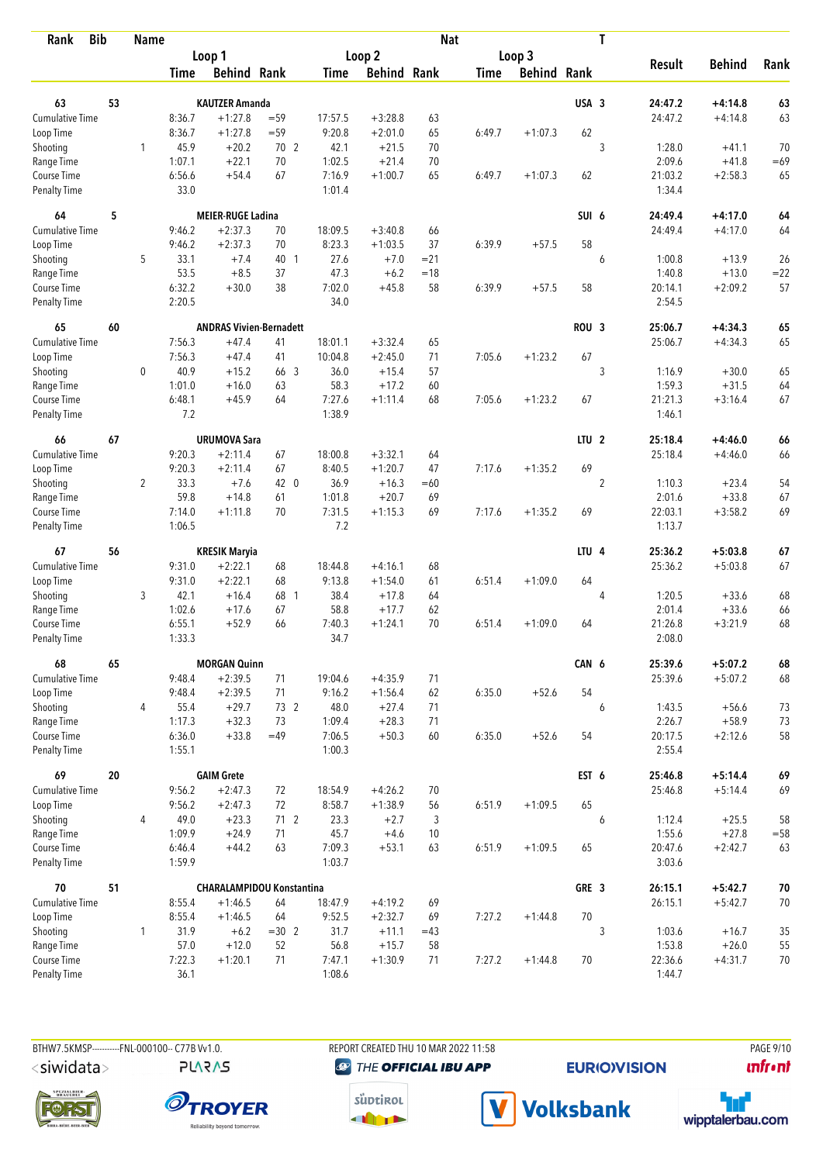| <b>Bib</b><br>Rank          |    | <b>Name</b>    |                  |                                  |           |                  |                    | <b>Nat</b> |             |                    |                  | T              |                   |                    |             |
|-----------------------------|----|----------------|------------------|----------------------------------|-----------|------------------|--------------------|------------|-------------|--------------------|------------------|----------------|-------------------|--------------------|-------------|
|                             |    |                |                  | Loop 1                           |           |                  | Loop 2             |            |             | Loop 3             |                  |                |                   |                    |             |
|                             |    |                | Time             | <b>Behind Rank</b>               |           | Time             | <b>Behind Rank</b> |            | <b>Time</b> | <b>Behind Rank</b> |                  |                | <b>Result</b>     | <b>Behind</b>      | Rank        |
| 63                          | 53 |                |                  | <b>KAUTZER Amanda</b>            |           |                  |                    |            |             |                    | USA 3            |                | 24:47.2           | $+4:14.8$          | 63          |
| <b>Cumulative Time</b>      |    |                | 8:36.7           | $+1:27.8$                        | $= 59$    | 17:57.5          | $+3:28.8$          | 63         |             |                    |                  |                | 24:47.2           | $+4:14.8$          | 63          |
| Loop Time                   |    |                | 8:36.7           | $+1:27.8$                        | $= 59$    | 9:20.8           | $+2:01.0$          | 65         | 6:49.7      | $+1:07.3$          | 62               |                |                   |                    |             |
|                             |    | 1              | 45.9             | $+20.2$                          | 70 2      | 42.1             | $+21.5$            | 70         |             |                    |                  | 3              | 1:28.0            | $+41.1$            | 70          |
| Shooting<br>Range Time      |    |                | 1:07.1           | $+22.1$                          | 70        | 1:02.5           | $+21.4$            | 70         |             |                    |                  |                | 2:09.6            | $+41.8$            | $=69$       |
| Course Time                 |    |                | 6:56.6           | $+54.4$                          | 67        | 7:16.9           | $+1:00.7$          | 65         | 6:49.7      | $+1:07.3$          | 62               |                | 21:03.2           | $+2:58.3$          | 65          |
| <b>Penalty Time</b>         |    |                | 33.0             |                                  |           | 1:01.4           |                    |            |             |                    |                  |                | 1:34.4            |                    |             |
| 64                          | 5  |                |                  | <b>MEIER-RUGE Ladina</b>         |           |                  |                    |            |             |                    | SUI 6            |                | 24:49.4           | $+4:17.0$          | 64          |
| Cumulative Time             |    |                | 9:46.2           | $+2:37.3$                        | 70        | 18:09.5          | $+3:40.8$          | 66         |             |                    |                  |                | 24:49.4           | $+4:17.0$          | 64          |
| Loop Time                   |    |                | 9:46.2           | $+2:37.3$                        | 70        | 8:23.3           | $+1:03.5$          | 37         | 6:39.9      | $+57.5$            | 58               |                |                   |                    |             |
| Shooting                    |    | 5              | 33.1             | $+7.4$                           | 40 1      | 27.6             | $+7.0$             | $= 21$     |             |                    |                  | 6              | 1:00.8            | $+13.9$            | 26          |
| Range Time                  |    |                | 53.5             | $+8.5$                           | 37        | 47.3             | $+6.2$             | $=18$      |             |                    |                  |                | 1:40.8            | $+13.0$            | $= 22$      |
| Course Time                 |    |                | 6:32.2           | $+30.0$                          | 38        | 7:02.0           | $+45.8$            | 58         | 6:39.9      | $+57.5$            | 58               |                | 20:14.1           | $+2:09.2$          | 57          |
| <b>Penalty Time</b>         |    |                | 2:20.5           |                                  |           | 34.0             |                    |            |             |                    |                  |                | 2:54.5            |                    |             |
| 65                          | 60 |                |                  | <b>ANDRAS Vivien-Bernadett</b>   |           |                  |                    |            |             |                    | ROU <sub>3</sub> |                | 25:06.7           | $+4:34.3$          | 65          |
| <b>Cumulative Time</b>      |    |                | 7:56.3           | $+47.4$                          | 41        | 18:01.1          | $+3:32.4$          | 65         |             |                    |                  |                | 25:06.7           | $+4:34.3$          | 65          |
| Loop Time                   |    |                | 7:56.3           | $+47.4$                          | 41        | 10:04.8          | $+2:45.0$          | 71         | 7:05.6      | $+1:23.2$          | 67               |                |                   |                    |             |
| Shooting                    |    | 0              | 40.9             | $+15.2$                          | 66 3      | 36.0             | $+15.4$            | 57         |             |                    |                  | 3              | 1:16.9            | $+30.0$            | 65          |
| Range Time                  |    |                | 1:01.0           | $+16.0$                          | 63        | 58.3             | $+17.2$            | 60         |             |                    |                  |                | 1:59.3            | $+31.5$            | 64          |
| Course Time                 |    |                | 6:48.1           | $+45.9$                          | 64        | 7:27.6           | $+1:11.4$          | 68         | 7:05.6      | $+1:23.2$          | 67               |                | 21:21.3           | $+3:16.4$          | 67          |
| <b>Penalty Time</b>         |    |                | 7.2              |                                  |           | 1:38.9           |                    |            |             |                    |                  |                | 1:46.1            |                    |             |
| 66                          | 67 |                |                  | <b>URUMOVA Sara</b>              |           |                  |                    |            |             |                    | LTU <sub>2</sub> |                | 25:18.4           | $+4:46.0$          | 66          |
| <b>Cumulative Time</b>      |    |                | 9:20.3           | $+2:11.4$                        | 67        | 18:00.8          | $+3:32.1$          | 64         |             |                    |                  |                | 25:18.4           | $+4:46.0$          | 66          |
| Loop Time                   |    |                | 9:20.3           | $+2:11.4$                        | 67        | 8:40.5           | $+1:20.7$          | 47         | 7:17.6      | $+1:35.2$          | 69               |                |                   |                    |             |
| Shooting                    |    | $\overline{2}$ | 33.3             | $+7.6$                           | 42 0      | 36.9             | $+16.3$            | $=60$      |             |                    |                  | $\overline{2}$ | 1:10.3            | $+23.4$            | 54          |
| Range Time                  |    |                | 59.8             | $+14.8$                          | 61        | 1:01.8           | $+20.7$            | 69         |             |                    |                  |                | 2:01.6            | $+33.8$            | 67          |
| Course Time                 |    |                | 7:14.0           | $+1:11.8$                        | 70        | 7:31.5           | $+1:15.3$          | 69         | 7:17.6      | $+1:35.2$          | 69               |                | 22:03.1           | $+3:58.2$          | 69          |
| <b>Penalty Time</b>         |    |                | 1:06.5           |                                  |           | 7.2              |                    |            |             |                    |                  |                | 1:13.7            |                    |             |
| 67                          | 56 |                |                  | <b>KRESIK Maryia</b>             |           |                  |                    |            |             |                    | LTU <sub>4</sub> |                | 25:36.2           | $+5:03.8$          | 67          |
| <b>Cumulative Time</b>      |    |                | 9:31.0           | $+2:22.1$                        | 68        | 18:44.8          | $+4:16.1$          | 68         |             |                    |                  |                | 25:36.2           | $+5:03.8$          | 67          |
| Loop Time                   |    |                | 9:31.0           | $+2:22.1$                        | 68        | 9:13.8           | $+1:54.0$          | 61         | 6:51.4      | $+1:09.0$          | 64               |                |                   |                    |             |
| Shooting                    |    | 3              | 42.1             | $+16.4$                          | 68 1      | 38.4             | $+17.8$            | 64         |             |                    |                  | 4              | 1:20.5            | $+33.6$            | 68          |
| Range Time                  |    |                | 1:02.6           | $+17.6$                          | 67        | 58.8             | $+17.7$            | 62         |             |                    |                  |                | 2:01.4            | $+33.6$            | 66          |
| Course Time                 |    |                | 6:55.1           | $+52.9$                          | 66        | 7:40.3           | $+1:24.1$          | 70         | 6:51.4      | $+1:09.0$          | 64               |                | 21:26.8           | $+3:21.9$          | 68          |
| <b>Penalty Time</b>         |    |                | 1:33.3           |                                  |           | 34.7             |                    |            |             |                    |                  |                | 2:08.0            |                    |             |
| 68                          | 65 |                |                  | <b>MORGAN Quinn</b>              |           |                  |                    |            |             |                    | CAN 6            |                | 25:39.6           | $+5:07.2$          | 68          |
| <b>Cumulative Time</b>      |    |                | 9:48.4           | $+2:39.5$                        | 71        | 19:04.6          | $+4:35.9$          | 71         |             |                    |                  |                | 25:39.6           | $+5:07.2$          | 68          |
| Loop Time                   |    |                | 9:48.4           | $+2:39.5$                        | 71        | 9:16.2           | $+1:56.4$          | 62         | 6:35.0      | $+52.6$            | 54               |                |                   |                    |             |
| Shooting                    |    | 4              | 55.4             | $+29.7$                          | 73 2      | 48.0             | $+27.4$            | 71         |             |                    |                  | 6              | 1:43.5            | $+56.6$            | 73          |
| Range Time                  |    |                | 1:17.3           | $+32.3$                          | 73        | 1:09.4           | $+28.3$            | 71         |             |                    |                  |                | 2:26.7            | $+58.9$            | 73          |
| Course Time<br>Penalty Time |    |                | 6:36.0<br>1:55.1 | $+33.8$                          | $=49$     | 7:06.5<br>1:00.3 | $+50.3$            | 60         | 6:35.0      | $+52.6$            | 54               |                | 20:17.5<br>2:55.4 | $+2:12.6$          | 58          |
|                             |    |                |                  |                                  |           |                  |                    |            |             |                    |                  |                | 25:46.8           |                    |             |
| 69<br>Cumulative Time       | 20 |                |                  | <b>GAIM Grete</b>                |           |                  |                    |            |             |                    | EST 6            |                |                   | $+5:14.4$          | 69          |
|                             |    |                | 9:56.2           | $+2:47.3$                        | 72        | 18:54.9          | $+4:26.2$          | 70         |             |                    | 65               |                | 25:46.8           | $+5:14.4$          | 69          |
| Loop Time                   |    |                | 9:56.2           | $+2:47.3$                        | 72        | 8:58.7           | $+1:38.9$          | 56         | 6:51.9      | $+1:09.5$          |                  |                |                   |                    |             |
| Shooting<br>Range Time      |    | 4              | 49.0<br>1:09.9   | $+23.3$<br>$+24.9$               | 712<br>71 | 23.3<br>45.7     | $+2.7$<br>$+4.6$   | 3<br>10    |             |                    |                  | 6              | 1:12.4<br>1:55.6  | $+25.5$<br>$+27.8$ | 58<br>$=58$ |
| Course Time                 |    |                | 6:46.4           | $+44.2$                          | 63        | 7:09.3           | $+53.1$            | 63         | 6:51.9      | $+1:09.5$          | 65               |                | 20:47.6           | $+2:42.7$          | 63          |
| Penalty Time                |    |                | 1:59.9           |                                  |           | 1:03.7           |                    |            |             |                    |                  |                | 3:03.6            |                    |             |
| 70                          | 51 |                |                  | <b>CHARALAMPIDOU Konstantina</b> |           |                  |                    |            |             |                    | GRE 3            |                | 26:15.1           | $+5:42.7$          | $70\,$      |
| <b>Cumulative Time</b>      |    |                | 8:55.4           | $+1:46.5$                        | 64        | 18:47.9          | $+4:19.2$          | 69         |             |                    |                  |                | 26:15.1           | $+5:42.7$          | 70          |
| Loop Time                   |    |                | 8:55.4           | $+1:46.5$                        | 64        | 9:52.5           | $+2:32.7$          | 69         | 7:27.2      | $+1:44.8$          | 70               |                |                   |                    |             |
| Shooting                    |    | 1              | 31.9             | $+6.2$                           | $=30$ 2   | 31.7             | $+11.1$            | $=43$      |             |                    |                  | 3              | 1:03.6            | $+16.7$            | 35          |
| Range Time                  |    |                | 57.0             | $+12.0$                          | 52        | 56.8             | $+15.7$            | 58         |             |                    |                  |                | 1:53.8            | $+26.0$            | 55          |
| Course Time                 |    |                | 7:22.3           | $+1:20.1$                        | 71        | 7:47.1           | $+1:30.9$          | 71         | 7:27.2      | $+1:44.8$          | 70               |                | 22:36.6           | $+4:31.7$          | 70          |
| <b>Penalty Time</b>         |    |                | 36.1             |                                  |           | 1:08.6           |                    |            |             |                    |                  |                | 1:44.7            |                    |             |

**PLARAS** 

BTHW7.5KMSP----------FNL-000100-- C77B Vv1.0. REPORT CREATED THU 10 MAR 2022 11:58 PAGE 9/10 **@** THE OFFICIAL IBU APP

**EURIO)VISION** 

*<u><u>Infront</u>*</u>